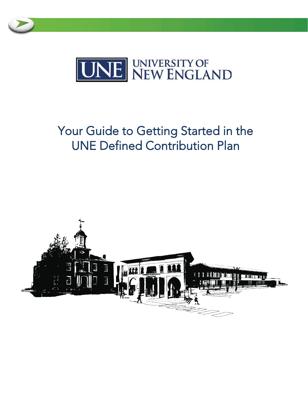



# Your Guide to Getting Started in the **UNE Defined Contribution Plan**

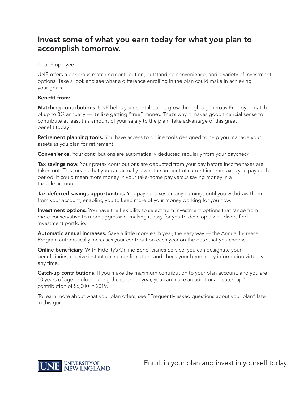## Invest some of what you earn today for what you plan to accomplish tomorrow.

Dear Employee:

UNE offers a generous matching contribution, outstanding convenience, and a variety of investment options. Take a look and see what a difference enrolling in the plan could make in achieving your goals.

## **Benefit from:**

Matching contributions. UNE helps your contributions grow through a generous Employer match of up to 8% annually - it's like getting "free" money. That's why it makes good financial sense to contribute at least this amount of your salary to the plan. Take advantage of this great benefit today!

Retirement planning tools. You have access to online tools designed to help you manage your assets as you plan for retirement.

**Convenience.** Your contributions are automatically deducted reqularly from your paycheck.

Tax savings now. Your pretax contributions are deducted from your pay before income taxes are taken out. This means that you can actually lower the amount of current income taxes you pay each period. It could mean more money in your take-home pay versus saving money in a taxable account.

Tax-deferred savings opportunities. You pay no taxes on any earnings until you withdraw them from your account, enabling you to keep more of your money working for you now.

Investment options. You have the flexibility to select from investment options that range from more conservative to more aggressive, making it easy for you to develop a well-diversified investment portfolio.

Automatic annual increases. Save a little more each year, the easy way — the Annual Increase Program automatically increases your contribution each year on the date that you choose.

**Online beneficiary.** With Fidelity's Online Beneficiaries Service, you can designate your beneficiaries, receive instant online confirmation, and check your beneficiary information virtually any time.

Catch-up contributions. If you make the maximum contribution to your plan account, and you are 50 years of age or older during the calendar year, you can make an additional "catch-up" contribution of \$6,000 in 2019.

To learn more about what your plan offers, see "Frequently asked questions about your plan" later in this guide.



Enroll in your plan and invest in yourself today.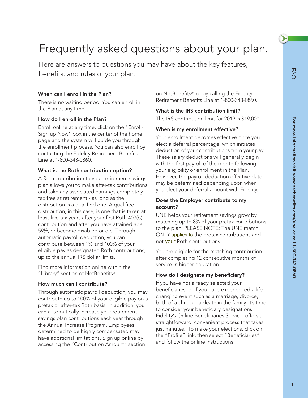# Frequently asked questions about your plan.

Here are answers to questions you may have about the key features, benefits, and rules of your plan.

## **When can I enroll in the Plan?**

There is no waiting period. You can enroll in the Plan at any time.

## **How do I enroll in the Plan?**

Enroll online at any time, click on the "Enroll-Sign up Now" box in the center of the home page and the system will guide you through the enrollment process. You can also enroll by contacting the Fidelity Retirement Benefits Line at 1-800-343-0860.

## **What is the Roth contribution option?**

A Roth contribution to your retirement savings plan allows you to make after-tax contributions and take any associated earnings completely tax free at retirement - as long as the distribution is a qualified one. A qualified distribution, in this case, is one that is taken at least five tax years after your first Roth 403(b) contribution and after you have attained age 59½, or become disabled or die. Through automatic payroll deduction, you can contribute between 1% and 100% of your eligible pay as designated Roth contributions, up to the annual IRS dollar limits.

Find more information online within the "Library" section of NetBenefits®.

## **How much can I contribute?**

Through automatic payroll deduction, you may contribute up to 100% of your eligible pay on a pretax or after-tax Roth basis. In addition, you can automatically increase your retirement savings plan contributions each year through the Annual Increase Program. Employees determined to be highly compensated may have additional limitations. Sign up online by accessing the "Contribution Amount" section

on NetBenefits®, or by calling the Fidelity Retirement Benefits Line at 1-800-343-0860.

## **What is the IRS contribution limit?**

The IRS contribution limit for 2019 is \$19,000.

## **When is my enrollment effective?**

Your enrollment becomes effective once you elect a deferral percentage, which initiates deduction of your contributions from your pay. These salary deductions will generally begin with the first payroll of the month following your eligibility or enrollment in the Plan. However, the payroll deduction effective date may be determined depending upon when you elect your deferral amount with Fidelity.

## **Does the Employer contribute to my account?**

UNE helps your retirement savings grow by matching up to 8% of your pretax contributions to the plan. PLEASE NOTE: The UNE match ONLY applies to the pretax contributions and not your Roth contributions.

You are eligible for the matching contribution after completing 12 consecutive months of service in higher education.

## **How do I designate my beneficiary?**

If you have not already selected your beneficiaries, or if you have experienced a lifechanging event such as a marriage, divorce, birth of a child, or a death in the family, it's time to consider your beneficiary designations. Fidelity's Online Beneficiaries Service, offers a straightforward, convenient process that takes just minutes. To make your elections, click on the "Profile" link, then select "Beneficiaries" and follow the online instructions.

 $\blacktriangleright$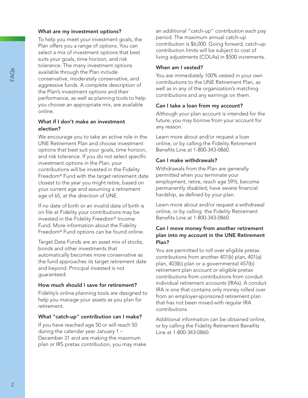## **What are my investment options?**

To help you meet your investment goals, the Plan offers you a range of options. You can select a mix of investment options that best suits your goals, time horizon, and risk tolerance. The many investment options available through the Plan include conservative, moderately conservative, and aggressive funds. A complete description of the Plan's investment options and their performance, as well as planning tools to help you choose an appropriate mix, are available online.

## **What if I don't make an investment election?**

We encourage you to take an active role in the UNE Retirement Plan and choose investment options that best suit your goals, time horizon, and risk tolerance. If you do not select specific investment options in the Plan, your contributions will be invested in the Fidelity Freedom® Fund with the target retirement date closest to the year you might retire, based on your current age and assuming a retirement age of 65, at the direction of UNE.

If no date of birth or an invalid date of birth is on file at Fidelity your contributions may be invested in the Fidelity Freedom® Income Fund. More information about the Fidelity Freedom® Fund options can be found online.

Target Date Funds are an asset mix of stocks, bonds and other investments that automatically becomes more conservative as the fund approaches its target retirement date and beyond. Principal invested is not guaranteed.

## **How much should I save for retirement?**

Fidelity's online planning tools are designed to help you manage your assets as you plan for retirement.

## **What "catch-up" contribution can I make?**

If you have reached age 50 or will reach 50 during the calendar year January 1 – December 31 and are making the maximum plan or IRS pretax contribution, you may make an additional "catch-up" contribution each pay period. The maximum annual catch-up contribution is \$6,000. Going forward, catch-up contribution limits will be subject to cost of living adjustments (COLAs) in \$500 increments.

## **When am I vested?**

You are immediately 100% vested in your own contributions to the UNE Retirement Plan, as well as in any of the organization's matching contributions and any earnings on them.

## **Can I take a loan from my account?**

Although your plan account is intended for the future, you may borrow from your account for any reason.

Learn more about and/or request a loan online, or by calling the Fidelity Retirement Benefits Line at 1-800-343-0860.

## **Can I make withdrawals?**

Withdrawals from the Plan are generally permitted when you terminate your employment, retire, reach age 59½, become permanently disabled, have severe financial hardship, as defined by your plan.

Learn more about and/or request a withdrawal online, or by calling the Fidelity Retirement Benefits Line at 1-800-343-0860.

## **Can I move money from another retirement plan into my account in the UNE Retirement Plan?**

You are permitted to roll over eligible pretax contributions from another 401(k) plan, 401(a) plan, 403(b) plan or a governmental 457(b) retirement plan account or eligible pretax contributions from contributions from conduit individual retirement accounts (IRAs). A conduit IRA is one that contains only money rolled over from an employer-sponsored retirement plan that has not been mixed with regular IRA contributions.

Additional information can be obtained online, or by calling the Fidelity Retirement Benefits Line at 1-800-343-0860.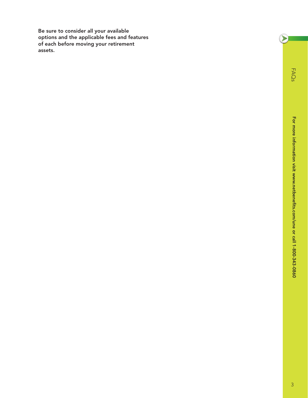**Be sure to consider all your available options and the applicable fees and features of each before moving your retirement assets.**

FAQs

 $\left( \sum_{i=1}^{n} a_i \right)$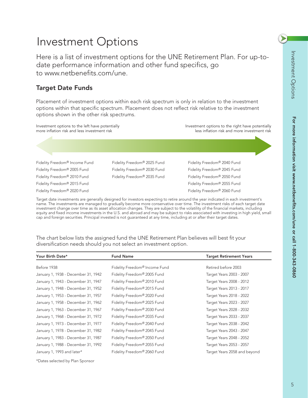▶

**For more information visit www.netbenefits.com/une or call 1-800-343-0860**

For more information visit www.netbenefits.com/une or call 1-800-343-0860

# Investment Options

Here is a list of investment options for the UNE Retirement Plan. For up-todate performance information and other fund specifics, go to www.netbenefits.com/une.

## **Target Date Funds**

Placement of investment options within each risk spectrum is only in relation to the investment options within that specific spectrum. Placement does not reflect risk relative to the investment options shown in the other risk spectrums.



Target date investments are generally designed for investors expecting to retire around the year indicated in each investment's name. The investments are managed to gradually become more conservative over time. The investment risks of each target date investment change over time as its asset allocation changes. They are subject to the volatility of the financial markets, including equity and fixed income investments in the U.S. and abroad and may be subject to risks associated with investing in high yield, small cap and foreign securities. Principal invested is not guaranteed at any time, including at or after their target dates.

**Your Birth Date\* Fund Name Target Retirement Years** Before 1938 **Fidelity Freedom<sup>®</sup> Income Fund** Retired before 2003 January 1, 1938 - December 31, 1942 Fidelity Freedom*®* 2005 Fund Target Years 2003 - 2007 January 1, 1943 - December 31, 1947 Fidelity Freedom*®* 2010 Fund Target Years 2008 - 2012 January 1, 1948 - December 31, 1952 Fidelity Freedom*®* 2015 Fund Target Years 2013 - 2017 January 1, 1953 - December 31, 1957 Fidelity Freedom*®* 2020 Fund Target Years 2018 - 2022 January 1, 1958 - December 31, 1962 Fidelity Freedom<sup>®</sup> 2025 Fund Target Years 2023 - 2027 January 1, 1963 - December 31, 1967 Fidelity Freedom*®* 2030 Fund Target Years 2028 - 2032 January 1, 1968 - December 31, 1972 Fidelity Freedom<sup>®</sup> 2035 Fund Target Years 2033 - 2037 January 1, 1973 - December 31, 1977 Fidelity Freedom<sup>®</sup> 2040 Fund Target Years 2038 - 2042 January 1, 1978 - December 31, 1982 Fidelity Freedom<sup>®</sup> 2045 Fund Target Years 2043 - 2047 January 1, 1983 - December 31, 1987 Fidelity Freedom<sup>®</sup> 2050 Fund Target Years 2048 - 2052 January 1, 1988 - December 31, 1992 Fidelity Freedom<sup>®</sup> 2055 Fund Target Years 2053 - 2057 January 1, 1993 and later\* Fidelity Freedom*®* 2060 Fund Target Years 2058 and beyond \*Dates selected by Plan Sponsor

The chart below lists the assigned fund the UNE Retirement Plan believes will best fit your diversification needs should you not select an investment option.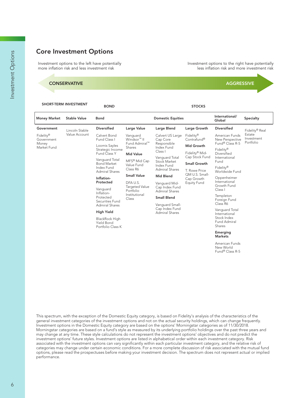## **Core Investment Options**

nvestment options to the left have potentially<br>more inflation risk and less investment risk

#### CONSERVATIVE AGGRESSIVE

**SHORT-TERM INVESTMENT BOND STOCKS**

**Money Market Stable Value Bond Domestic Equities International/ Specialty Government**  Fidelity® **Government** Money Market Fund Lincoln Stable Value Account **Diversified** Calvert Bond Fund Class I Loomis Sayles Strategic Income Fund Class Y Vanguard Total Bond Market Index Fund Admiral Shares **Inflation-Protected** Vanguard Inflation-Protected Securities Fund Admiral Shares **High Yield** BlackRock High Yield Bond Portfolio Class K **Large Value** Vanguard Windsor<sup>™</sup> II Fund Admiral™ Shares **Mid Value** MFS® Mid Cap Value Fund Class R6 **Small Value** DFA U.S. Targeted Value Portfolio Institutional Class **Large Blend** Calvert US Large Cap Core Responsible Index Fund Class I Vanguard Total Stock Market Index Fund Admiral Shares **Mid Blend** Vanguard Mid-Cap Index Fund Admiral Shares **Small Blend** Vanguard Small-Cap Index Fund Admiral Shares **Large Growth** Fidelity® Contrafund® **Mid Growth** Fidelity® Mid-Cap Stock Fund **Small Growth** T. Rowe Price QM U.S. Small-Cap Growth Equity Fund **Diversified** American Funds New Perspective Fund<sup>®</sup> Class R-5 Fidelity® Diversified International Fund Fidelity® Worldwide Fund Oppenheimer International Growth Fund Class I Templeton Foreign Fund Class R6 Vanguard Total International Stock Index Fund Admiral Shares **Emerging Markets** American Funds New World Fund<sup>®</sup> Class R-5 Fidelity® Real Estate Investment Portfolio

less inflation risk and more investment risk

nvestment options to the right have potentially

This spectrum, with the exception of the Domestic Equity category, is based on Fidelity's analysis of the characteristics of the general investment categories of the investment options and not on the actual security holdings, which can change frequently. Investment options in the Domestic Equity category are based on the options' Morningstar categories as of 11/30/2018. Morningstar categories are based on a fund's style as measured by its underlying portfolio holdings over the past three years and may change at any time. These style calculations do not represent the investment options' objectives and do not predict the investment options' future styles. Investment options are listed in alphabetical order within each investment category. Risk associated with the investment options can vary significantly within each particular investment category, and the relative risk of categories may change under certain economic conditions. For a more complete discussion of risk associated with the mutual fund options, please read the prospectuses before making your investment decision. The spectrum does not represent actual or implied performance.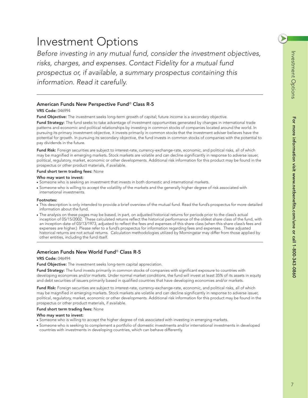**For more information visit www.netbenefits.com/une or call 1-800-343-0860**

For more information visit www.netbenefits.com/une or call 1-800-343-0860

## Investment Options

*Before investing in any mutual fund, consider the investment objectives, risks, charges, and expenses. Contact Fidelity for a mutual fund prospectus or, if available, a summary prospectus containing this information. Read it carefully.*

## **American Funds New Perspective Fund**® **Class R-5**

#### **VRS Code:** 046994

**Fund Objective:** The investment seeks long-term growth of capital; future income is a secondary objective.

**Fund Strategy:** The fund seeks to take advantage of investment opportunities generated by changes in international trade patterns and economic and political relationships by investing in common stocks of companies located around the world. In pursuing its primary investment objective, it invests primarily in common stocks that the investment adviser believes have the potential for growth. In pursuing its secondary objective, the fund invests in common stocks of companies with the potential to pay dividends in the future.

**Fund Risk:** Foreign securities are subject to interest-rate, currency-exchange-rate, economic, and political risks, all of which may be magnified in emerging markets. Stock markets are volatile and can decline significantly in response to adverse issuer, political, regulatory, market, economic or other developments. Additional risk information for this product may be found in the prospectus or other product materials, if available.

#### **Fund short term trading fees:** None

#### **Who may want to invest:**

- Someone who is seeking an investment that invests in both domestic and international markets.
- Someone who is willing to accept the volatility of the markets and the generally higher degree of risk associated with international investments.

#### **Footnotes:**

- This description is only intended to provide a brief overview of the mutual fund. Read the fund's prospectus for more detailed information about the fund.
- The analysis on these pages may be based, in part, on adjusted historical returns for periods prior to the class's actual inception of 05/15/2002. These calculated returns reflect the historical performance of the oldest share class of the fund, with an inception date of 03/13/1973, adjusted to reflect the fees and expenses of this share class (when this share class's fees and expenses are higher.) Please refer to a fund's prospectus for information regarding fees and expenses. These adjusted historical returns are not actual returns. Calculation methodologies utilized by Morningstar may differ from those applied by other entities, including the fund itself.

## **American Funds New World Fund**® **Class R-5**

#### **VRS Code:** 046494

**Fund Objective:** The investment seeks long-term capital appreciation.

**Fund Strategy:** The fund invests primarily in common stocks of companies with significant exposure to countries with developing economies and/or markets. Under normal market conditions, the fund will invest at least 35% of its assets in equity and debt securities of issuers primarily based in qualified countries that have developing economies and/or markets.

**Fund Risk:** Foreign securities are subject to interest-rate, currency-exchange-rate, economic, and political risks, all of which may be magnified in emerging markets. Stock markets are volatile and can decline significantly in response to adverse issuer, political, regulatory, market, economic or other developments. Additional risk information for this product may be found in the prospectus or other product materials, if available.

#### **Fund short term trading fees:** None

- Someone who is willing to accept the higher degree of risk associated with investing in emerging markets.
- Someone who is seeking to complement a portfolio of domestic investments and/or international investments in developed countries with investments in developing countries, which can behave differently.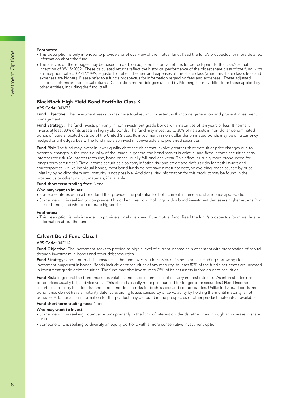#### **Footnotes:**

- This description is only intended to provide a brief overview of the mutual fund. Read the fund's prospectus for more detailed information about the fund.
- The analysis on these pages may be based, in part, on adjusted historical returns for periods prior to the class's actual inception of 05/15/2002. These calculated returns reflect the historical performance of the oldest share class of the fund, with an inception date of 06/17/1999, adjusted to reflect the fees and expenses of this share class (when this share class's fees and expenses are higher.) Please refer to a fund's prospectus for information regarding fees and expenses. These adjusted historical returns are not actual returns. Calculation methodologies utilized by Morningstar may differ from those applied by other entities, including the fund itself.

## **BlackRock High Yield Bond Portfolio Class K**

#### **VRS Code:** 043673

**Fund Objective:** The investment seeks to maximize total return, consistent with income generation and prudent investment management.

**Fund Strategy:** The fund invests primarily in non-investment grade bonds with maturities of ten years or less. It normally invests at least 80% of its assets in high yield bonds. The fund may invest up to 30% of its assets in non-dollar denominated bonds of issuers located outside of the United States. Its investment in non-dollar denominated bonds may be on a currency hedged or unhedged basis. The fund may also invest in convertible and preferred securities.

**Fund Risk:** The fund may invest in lower-quality debt securities that involve greater risk of default or price changes due to potential changes in the credit quality of the issuer. In general the bond market is volatile, and fixed income securities carry interest rate risk. (As interest rates rise, bond prices usually fall, and vice versa. This effect is usually more pronounced for longer-term securities.) Fixed income securities also carry inflation risk and credit and default risks for both issuers and counterparties. Unlike individual bonds, most bond funds do not have a maturity date, so avoiding losses caused by price volatility by holding them until maturity is not possible. Additional risk information for this product may be found in the prospectus or other product materials, if available.

#### **Fund short term trading fees:** None

#### **Who may want to invest:**

- Someone interested in a bond fund that provides the potential for both current income and share-price appreciation.
- Someone who is seeking to complement his or her core bond holdings with a bond investment that seeks higher returns from riskier bonds, and who can tolerate higher risk.

#### **Footnotes:**

● This description is only intended to provide a brief overview of the mutual fund. Read the fund's prospectus for more detailed information about the fund.

## **Calvert Bond Fund Class I**

#### **VRS Code:** 047214

**Fund Objective:** The investment seeks to provide as high a level of current income as is consistent with preservation of capital through investment in bonds and other debt securities.

**Fund Strategy:** Under normal circumstances, the fund invests at least 80% of its net assets (including borrowings for investment purposes) in bonds. Bonds include debt securities of any maturity. At least 80% of the fund's net assets are invested in investment grade debt securities. The fund may also invest up to 25% of its net assets in foreign debt securities.

**Fund Risk:** In general the bond market is volatile, and fixed income securities carry interest rate risk. (As interest rates rise, bond prices usually fall, and vice versa. This effect is usually more pronounced for longer-term securities.) Fixed income securities also carry inflation risk and credit and default risks for both issuers and counterparties. Unlike individual bonds, most bond funds do not have a maturity date, so avoiding losses caused by price volatility by holding them until maturity is not possible. Additional risk information for this product may be found in the prospectus or other product materials, if available.

#### **Fund short term trading fees:** None

- Someone who is seeking potential returns primarily in the form of interest dividends rather than through an increase in share price.
- Someone who is seeking to diversify an equity portfolio with a more conservative investment option.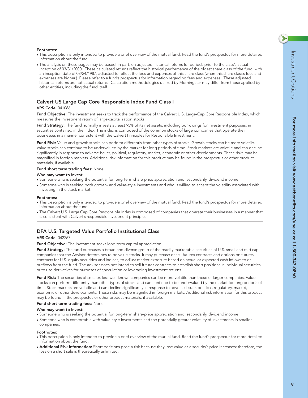$\blacktriangleright$ 

**For more information visit www.netbenefits.com/une or call 1-800-343-0860**

For more information visit www.netbenefits.com/une or call 1-800-343-0860

- This description is only intended to provide a brief overview of the mutual fund. Read the fund's prospectus for more detailed information about the fund.
- The analysis on these pages may be based, in part, on adjusted historical returns for periods prior to the class's actual inception of 03/31/2000. These calculated returns reflect the historical performance of the oldest share class of the fund, with an inception date of 08/24/1987, adjusted to reflect the fees and expenses of this share class (when this share class's fees and expenses are higher.) Please refer to a fund's prospectus for information regarding fees and expenses. These adjusted historical returns are not actual returns. Calculation methodologies utilized by Morningstar may differ from those applied by other entities, including the fund itself.

## **Calvert US Large Cap Core Responsible Index Fund Class I**

### **VRS Code:** 041086

**Footnotes:**

Fund Objective: The investment seeks to track the performance of the Calvert U.S. Large-Cap Core Responsible Index, which measures the investment return of large-capitalization stocks.

Fund Strategy: The fund normally invests at least 95% of its net assets, including borrowings for investment purposes, in securities contained in the index. The index is composed of the common stocks of large companies that operate their businesses in a manner consistent with the Calvert Principles for Responsible Investment.

**Fund Risk:** Value and growth stocks can perform differently from other types of stocks. Growth stocks can be more volatile. Value stocks can continue to be undervalued by the market for long periods of time. Stock markets are volatile and can decline significantly in response to adverse issuer, political, regulatory, market, economic or other developments. These risks may be magnified in foreign markets. Additional risk information for this product may be found in the prospectus or other product materials, if available.

#### **Fund short term trading fees:** None

#### **Who may want to invest:**

- Someone who is seeking the potential for long-term share-price appreciation and, secondarily, dividend income.
- Someone who is seeking both growth- and value-style investments and who is willing to accept the volatility associated with investing in the stock market.

#### **Footnotes:**

- This description is only intended to provide a brief overview of the mutual fund. Read the fund's prospectus for more detailed information about the fund.
- The Calvert U.S. Large Cap Core Responsible Index is composed of companies that operate their businesses in a manner that is consistent with Calvert's responsible investment principles.

## **DFA U.S. Targeted Value Portfolio Institutional Class**

#### **VRS Code:** 042267

**Fund Objective:** The investment seeks long-term capital appreciation.

**Fund Strategy:** The fund purchases a broad and diverse group of the readily marketable securities of U.S. small and mid cap companies that the Advisor determines to be value stocks. It may purchase or sell futures contracts and options on futures contracts for U.S. equity securities and indices, to adjust market exposure based on actual or expected cash inflows to or outflows from the fund. The advisor does not intend to sell futures contracts to establish short positions in individual securities or to use derivatives for purposes of speculation or leveraging investment returns.

**Fund Risk:** The securities of smaller, less well-known companies can be more volatile than those of larger companies. Value stocks can perform differently than other types of stocks and can continue to be undervalued by the market for long periods of time. Stock markets are volatile and can decline significantly in response to adverse issuer, political, regulatory, market, economic or other developments. These risks may be magnified in foreign markets. Additional risk information for this product may be found in the prospectus or other product materials, if available.

#### **Fund short term trading fees:** None

#### **Who may want to invest:**

- Someone who is seeking the potential for long-term share-price appreciation and, secondarily, dividend income.
- Someone who is comfortable with value-style investments and the potentially greater volatility of investments in smaller companies.

#### **Footnotes:**

- This description is only intended to provide a brief overview of the mutual fund. Read the fund's prospectus for more detailed information about the fund.
- **Additional Risk Information:** Short positions pose a risk because they lose value as a security's price increases; therefore, the loss on a short sale is theoretically unlimited.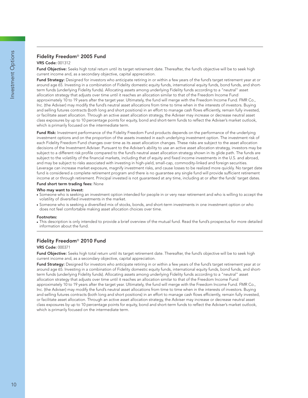## **Fidelity Freedom**® **2005 Fund**

#### **VRS Code:** 001312

**Fund Objective:** Seeks high total return until its target retirement date. Thereafter, the fund's objective will be to seek high current income and, as a secondary objective, capital appreciation.

**Fund Strategy:** Designed for investors who anticipate retiring in or within a few years of the fund's target retirement year at or around age 65. Investing in a combination of Fidelity domestic equity funds, international equity funds, bond funds, and shortterm funds (underlying Fidelity funds). Allocating assets among underlying Fidelity funds according to a "neutral" asset allocation strategy that adjusts over time until it reaches an allocation similar to that of the Freedom Income Fund approximately 10 to 19 years after the target year. Ultimately, the fund will merge with the Freedom Income Fund. FMR Co., Inc. (the Adviser) may modify the fund's neutral asset allocations from time to time when in the interests of investors. Buying and selling futures contracts (both long and short positions) in an effort to manage cash flows efficiently, remain fully invested, or facilitate asset allocation. Through an active asset allocation strategy, the Adviser may increase or decrease neutral asset class exposures by up to 10 percentage points for equity, bond and short-term funds to reflect the Adviser's market outlook, which is primarily focused on the intermediate term.

**Fund Risk:** Investment performance of the Fidelity Freedom Fund products depends on the performance of the underlying investment options and on the proportion of the assets invested in each underlying investment option. The investment risk of each Fidelity Freedom Fund changes over time as its asset allocation changes. These risks are subject to the asset allocation decisions of the Investment Adviser. Pursuant to the Adviser's ability to use an active asset allocation strategy, investors may be subject to a different risk profile compared to the fund's neutral asset allocation strategy shown in its glide path. The funds are subject to the volatility of the financial markets, including that of equity and fixed income investments in the U.S. and abroad, and may be subject to risks associated with investing in high-yield, small-cap, commodity-linked and foreign securities. Leverage can increase market exposure, magnify investment risks, and cause losses to be realized more quickly. No target date fund is considered a complete retirement program and there is no guarantee any single fund will provide sufficient retirement income at or through retirement. Principal invested is not guaranteed at any time, including at or after the funds' target dates.

#### **Fund short term trading fees:** None

#### **Who may want to invest:**

- Someone who is seeking an investment option intended for people in or very near retirement and who is willing to accept the volatility of diversified investments in the market.
- Someone who is seeking a diversified mix of stocks, bonds, and short-term investments in one investment option or who does not feel comfortable making asset allocation choices over time.

#### **Footnotes:**

● This description is only intended to provide a brief overview of the mutual fund. Read the fund's prospectus for more detailed information about the fund.

#### **Fidelity Freedom**® **2010 Fund**

#### **VRS Code:** 000371

**Fund Objective:** Seeks high total return until its target retirement date. Thereafter, the fund's objective will be to seek high current income and, as a secondary objective, capital appreciation.

Fund Strategy: Designed for investors who anticipate retiring in or within a few years of the fund's target retirement year at or around age 65. Investing in a combination of Fidelity domestic equity funds, international equity funds, bond funds, and shortterm funds (underlying Fidelity funds). Allocating assets among underlying Fidelity funds according to a "neutral" asset allocation strategy that adjusts over time until it reaches an allocation similar to that of the Freedom Income Fund approximately 10 to 19 years after the target year. Ultimately, the fund will merge with the Freedom Income Fund. FMR Co., Inc. (the Adviser) may modify the fund's neutral asset allocations from time to time when in the interests of investors. Buying and selling futures contracts (both long and short positions) in an effort to manage cash flows efficiently, remain fully invested, or facilitate asset allocation. Through an active asset allocation strategy, the Adviser may increase or decrease neutral asset class exposures by up to 10 percentage points for equity, bond and short-term funds to reflect the Adviser's market outlook, which is primarily focused on the intermediate term.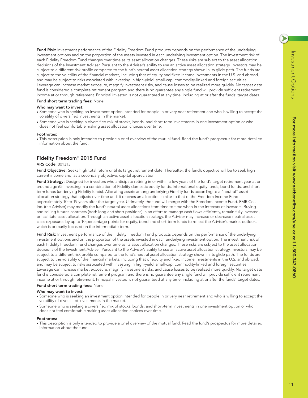$\blacktriangleright$ 

**Fund Risk:** Investment performance of the Fidelity Freedom Fund products depends on the performance of the underlying investment options and on the proportion of the assets invested in each underlying investment option. The investment risk of each Fidelity Freedom Fund changes over time as its asset allocation changes. These risks are subject to the asset allocation decisions of the Investment Adviser. Pursuant to the Adviser's ability to use an active asset allocation strategy, investors may be subject to a different risk profile compared to the fund's neutral asset allocation strategy shown in its glide path. The funds are subject to the volatility of the financial markets, including that of equity and fixed income investments in the U.S. and abroad, and may be subject to risks associated with investing in high-yield, small-cap, commodity-linked and foreign securities. Leverage can increase market exposure, magnify investment risks, and cause losses to be realized more quickly. No target date fund is considered a complete retirement program and there is no guarantee any single fund will provide sufficient retirement income at or through retirement. Principal invested is not guaranteed at any time, including at or after the funds' target dates.

#### **Fund short term trading fees:** None

#### **Who may want to invest:**

- Someone who is seeking an investment option intended for people in or very near retirement and who is willing to accept the volatility of diversified investments in the market.
- Someone who is seeking a diversified mix of stocks, bonds, and short-term investments in one investment option or who does not feel comfortable making asset allocation choices over time.

#### **Footnotes:**

● This description is only intended to provide a brief overview of the mutual fund. Read the fund's prospectus for more detailed information about the fund.

#### **Fidelity Freedom**® **2015 Fund**

#### **VRS Code:** 001313

Fund Objective: Seeks high total return until its target retirement date. Thereafter, the fund's objective will be to seek high current income and, as a secondary objective, capital appreciation.

Fund Strategy: Designed for investors who anticipate retiring in or within a few years of the fund's target retirement year at or around age 65. Investing in a combination of Fidelity domestic equity funds, international equity funds, bond funds, and shortterm funds (underlying Fidelity funds). Allocating assets among underlying Fidelity funds according to a "neutral" asset allocation strategy that adjusts over time until it reaches an allocation similar to that of the Freedom Income Fund approximately 10 to 19 years after the target year. Ultimately, the fund will merge with the Freedom Income Fund. FMR Co., Inc. (the Adviser) may modify the fund's neutral asset allocations from time to time when in the interests of investors. Buying and selling futures contracts (both long and short positions) in an effort to manage cash flows efficiently, remain fully invested, or facilitate asset allocation. Through an active asset allocation strategy, the Adviser may increase or decrease neutral asset class exposures by up to 10 percentage points for equity, bond and short-term funds to reflect the Adviser's market outlook, which is primarily focused on the intermediate term.

**Fund Risk:** Investment performance of the Fidelity Freedom Fund products depends on the performance of the underlying investment options and on the proportion of the assets invested in each underlying investment option. The investment risk of each Fidelity Freedom Fund changes over time as its asset allocation changes. These risks are subject to the asset allocation decisions of the Investment Adviser. Pursuant to the Adviser's ability to use an active asset allocation strategy, investors may be subject to a different risk profile compared to the fund's neutral asset allocation strategy shown in its glide path. The funds are subject to the volatility of the financial markets, including that of equity and fixed income investments in the U.S. and abroad, and may be subject to risks associated with investing in high-yield, small-cap, commodity-linked and foreign securities. Leverage can increase market exposure, magnify investment risks, and cause losses to be realized more quickly. No target date fund is considered a complete retirement program and there is no guarantee any single fund will provide sufficient retirement income at or through retirement. Principal invested is not guaranteed at any time, including at or after the funds' target dates.

#### **Fund short term trading fees:** None

#### **Who may want to invest:**

- Someone who is seeking an investment option intended for people in or very near retirement and who is willing to accept the volatility of diversified investments in the market.
- Someone who is seeking a diversified mix of stocks, bonds, and short-term investments in one investment option or who does not feel comfortable making asset allocation choices over time.

#### **Footnotes:**

● This description is only intended to provide a brief overview of the mutual fund. Read the fund's prospectus for more detailed information about the fund.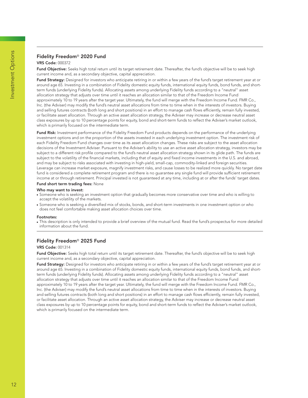## **Fidelity Freedom**® **2020 Fund**

#### **VRS Code:** 000372

**Fund Objective:** Seeks high total return until its target retirement date. Thereafter, the fund's objective will be to seek high current income and, as a secondary objective, capital appreciation.

**Fund Strategy:** Designed for investors who anticipate retiring in or within a few years of the fund's target retirement year at or around age 65. Investing in a combination of Fidelity domestic equity funds, international equity funds, bond funds, and shortterm funds (underlying Fidelity funds). Allocating assets among underlying Fidelity funds according to a "neutral" asset allocation strategy that adjusts over time until it reaches an allocation similar to that of the Freedom Income Fund approximately 10 to 19 years after the target year. Ultimately, the fund will merge with the Freedom Income Fund. FMR Co., Inc. (the Adviser) may modify the fund's neutral asset allocations from time to time when in the interests of investors. Buying and selling futures contracts (both long and short positions) in an effort to manage cash flows efficiently, remain fully invested, or facilitate asset allocation. Through an active asset allocation strategy, the Adviser may increase or decrease neutral asset class exposures by up to 10 percentage points for equity, bond and short-term funds to reflect the Adviser's market outlook, which is primarily focused on the intermediate term.

**Fund Risk:** Investment performance of the Fidelity Freedom Fund products depends on the performance of the underlying investment options and on the proportion of the assets invested in each underlying investment option. The investment risk of each Fidelity Freedom Fund changes over time as its asset allocation changes. These risks are subject to the asset allocation decisions of the Investment Adviser. Pursuant to the Adviser's ability to use an active asset allocation strategy, investors may be subject to a different risk profile compared to the fund's neutral asset allocation strategy shown in its glide path. The funds are subject to the volatility of the financial markets, including that of equity and fixed income investments in the U.S. and abroad, and may be subject to risks associated with investing in high-yield, small-cap, commodity-linked and foreign securities. Leverage can increase market exposure, magnify investment risks, and cause losses to be realized more quickly. No target date fund is considered a complete retirement program and there is no guarantee any single fund will provide sufficient retirement income at or through retirement. Principal invested is not guaranteed at any time, including at or after the funds' target dates.

#### **Fund short term trading fees:** None

#### **Who may want to invest:**

- Someone who is seeking an investment option that gradually becomes more conservative over time and who is willing to accept the volatility of the markets.
- Someone who is seeking a diversified mix of stocks, bonds, and short-term investments in one investment option or who does not feel comfortable making asset allocation choices over time.

#### **Footnotes:**

● This description is only intended to provide a brief overview of the mutual fund. Read the fund's prospectus for more detailed information about the fund.

#### **Fidelity Freedom**® **2025 Fund**

#### **VRS Code:** 001314

**Fund Objective:** Seeks high total return until its target retirement date. Thereafter, the fund's objective will be to seek high current income and, as a secondary objective, capital appreciation.

Fund Strategy: Designed for investors who anticipate retiring in or within a few years of the fund's target retirement year at or around age 65. Investing in a combination of Fidelity domestic equity funds, international equity funds, bond funds, and shortterm funds (underlying Fidelity funds). Allocating assets among underlying Fidelity funds according to a "neutral" asset allocation strategy that adjusts over time until it reaches an allocation similar to that of the Freedom Income Fund approximately 10 to 19 years after the target year. Ultimately, the fund will merge with the Freedom Income Fund. FMR Co., Inc. (the Adviser) may modify the fund's neutral asset allocations from time to time when in the interests of investors. Buying and selling futures contracts (both long and short positions) in an effort to manage cash flows efficiently, remain fully invested, or facilitate asset allocation. Through an active asset allocation strategy, the Adviser may increase or decrease neutral asset class exposures by up to 10 percentage points for equity, bond and short-term funds to reflect the Adviser's market outlook, which is primarily focused on the intermediate term.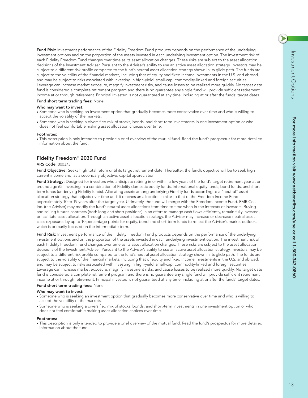$\blacktriangleright$ 

**Fund Risk:** Investment performance of the Fidelity Freedom Fund products depends on the performance of the underlying investment options and on the proportion of the assets invested in each underlying investment option. The investment risk of each Fidelity Freedom Fund changes over time as its asset allocation changes. These risks are subject to the asset allocation decisions of the Investment Adviser. Pursuant to the Adviser's ability to use an active asset allocation strategy, investors may be subject to a different risk profile compared to the fund's neutral asset allocation strategy shown in its glide path. The funds are subject to the volatility of the financial markets, including that of equity and fixed income investments in the U.S. and abroad, and may be subject to risks associated with investing in high-yield, small-cap, commodity-linked and foreign securities. Leverage can increase market exposure, magnify investment risks, and cause losses to be realized more quickly. No target date fund is considered a complete retirement program and there is no guarantee any single fund will provide sufficient retirement income at or through retirement. Principal invested is not guaranteed at any time, including at or after the funds' target dates.

#### **Fund short term trading fees:** None

#### **Who may want to invest:**

- Someone who is seeking an investment option that gradually becomes more conservative over time and who is willing to accept the volatility of the markets.
- Someone who is seeking a diversified mix of stocks, bonds, and short-term investments in one investment option or who does not feel comfortable making asset allocation choices over time.

#### **Footnotes:**

● This description is only intended to provide a brief overview of the mutual fund. Read the fund's prospectus for more detailed information about the fund.

### **Fidelity Freedom**® **2030 Fund**

#### **VRS Code:** 000373

Fund Objective: Seeks high total return until its target retirement date. Thereafter, the fund's objective will be to seek high current income and, as a secondary objective, capital appreciation.

Fund Strategy: Designed for investors who anticipate retiring in or within a few years of the fund's target retirement year at or around age 65. Investing in a combination of Fidelity domestic equity funds, international equity funds, bond funds, and shortterm funds (underlying Fidelity funds). Allocating assets among underlying Fidelity funds according to a "neutral" asset allocation strategy that adjusts over time until it reaches an allocation similar to that of the Freedom Income Fund approximately 10 to 19 years after the target year. Ultimately, the fund will merge with the Freedom Income Fund. FMR Co., Inc. (the Adviser) may modify the fund's neutral asset allocations from time to time when in the interests of investors. Buying and selling futures contracts (both long and short positions) in an effort to manage cash flows efficiently, remain fully invested, or facilitate asset allocation. Through an active asset allocation strategy, the Adviser may increase or decrease neutral asset class exposures by up to 10 percentage points for equity, bond and short-term funds to reflect the Adviser's market outlook, which is primarily focused on the intermediate term.

**Fund Risk:** Investment performance of the Fidelity Freedom Fund products depends on the performance of the underlying investment options and on the proportion of the assets invested in each underlying investment option. The investment risk of each Fidelity Freedom Fund changes over time as its asset allocation changes. These risks are subject to the asset allocation decisions of the Investment Adviser. Pursuant to the Adviser's ability to use an active asset allocation strategy, investors may be subject to a different risk profile compared to the fund's neutral asset allocation strategy shown in its glide path. The funds are subject to the volatility of the financial markets, including that of equity and fixed income investments in the U.S. and abroad, and may be subject to risks associated with investing in high-yield, small-cap, commodity-linked and foreign securities. Leverage can increase market exposure, magnify investment risks, and cause losses to be realized more quickly. No target date fund is considered a complete retirement program and there is no guarantee any single fund will provide sufficient retirement income at or through retirement. Principal invested is not guaranteed at any time, including at or after the funds' target dates.

#### **Fund short term trading fees:** None

#### **Who may want to invest:**

- Someone who is seeking an investment option that gradually becomes more conservative over time and who is willing to accept the volatility of the markets.
- Someone who is seeking a diversified mix of stocks, bonds, and short-term investments in one investment option or who does not feel comfortable making asset allocation choices over time.

#### **Footnotes:**

• This description is only intended to provide a brief overview of the mutual fund. Read the fund's prospectus for more detailed information about the fund.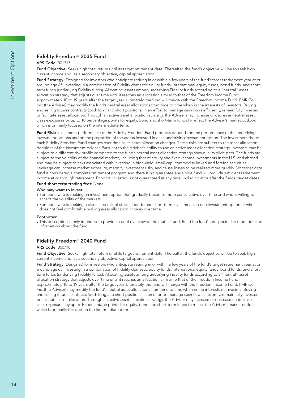## **Fidelity Freedom**® **2035 Fund**

#### **VRS Code:** 001315

**Fund Objective:** Seeks high total return until its target retirement date. Thereafter, the fund's objective will be to seek high current income and, as a secondary objective, capital appreciation.

**Fund Strategy:** Designed for investors who anticipate retiring in or within a few years of the fund's target retirement year at or around age 65. Investing in a combination of Fidelity domestic equity funds, international equity funds, bond funds, and shortterm funds (underlying Fidelity funds). Allocating assets among underlying Fidelity funds according to a "neutral" asset allocation strategy that adjusts over time until it reaches an allocation similar to that of the Freedom Income Fund approximately 10 to 19 years after the target year. Ultimately, the fund will merge with the Freedom Income Fund. FMR Co., Inc. (the Adviser) may modify the fund's neutral asset allocations from time to time when in the interests of investors. Buying and selling futures contracts (both long and short positions) in an effort to manage cash flows efficiently, remain fully invested, or facilitate asset allocation. Through an active asset allocation strategy, the Adviser may increase or decrease neutral asset class exposures by up to 10 percentage points for equity, bond and short-term funds to reflect the Adviser's market outlook, which is primarily focused on the intermediate term.

**Fund Risk:** Investment performance of the Fidelity Freedom Fund products depends on the performance of the underlying investment options and on the proportion of the assets invested in each underlying investment option. The investment risk of each Fidelity Freedom Fund changes over time as its asset allocation changes. These risks are subject to the asset allocation decisions of the Investment Adviser. Pursuant to the Adviser's ability to use an active asset allocation strategy, investors may be subject to a different risk profile compared to the fund's neutral asset allocation strategy shown in its glide path. The funds are subject to the volatility of the financial markets, including that of equity and fixed income investments in the U.S. and abroad, and may be subject to risks associated with investing in high-yield, small-cap, commodity-linked and foreign securities. Leverage can increase market exposure, magnify investment risks, and cause losses to be realized more quickly. No target date fund is considered a complete retirement program and there is no guarantee any single fund will provide sufficient retirement income at or through retirement. Principal invested is not guaranteed at any time, including at or after the funds' target dates.

#### **Fund short term trading fees:** None

#### **Who may want to invest:**

- Someone who is seeking an investment option that gradually becomes more conservative over time and who is willing to accept the volatility of the markets.
- Someone who is seeking a diversified mix of stocks, bonds, and short-term investments in one investment option or who does not feel comfortable making asset allocation choices over time.

#### **Footnotes:**

● This description is only intended to provide a brief overview of the mutual fund. Read the fund's prospectus for more detailed information about the fund.

#### **Fidelity Freedom**® **2040 Fund**

#### **VRS Code:** 000718

**Fund Objective:** Seeks high total return until its target retirement date. Thereafter, the fund's objective will be to seek high current income and, as a secondary objective, capital appreciation.

Fund Strategy: Designed for investors who anticipate retiring in or within a few years of the fund's target retirement year at or around age 65. Investing in a combination of Fidelity domestic equity funds, international equity funds, bond funds, and shortterm funds (underlying Fidelity funds). Allocating assets among underlying Fidelity funds according to a "neutral" asset allocation strategy that adjusts over time until it reaches an allocation similar to that of the Freedom Income Fund approximately 10 to 19 years after the target year. Ultimately, the fund will merge with the Freedom Income Fund. FMR Co., Inc. (the Adviser) may modify the fund's neutral asset allocations from time to time when in the interests of investors. Buying and selling futures contracts (both long and short positions) in an effort to manage cash flows efficiently, remain fully invested, or facilitate asset allocation. Through an active asset allocation strategy, the Adviser may increase or decrease neutral asset class exposures by up to 10 percentage points for equity, bond and short-term funds to reflect the Adviser's market outlook, which is primarily focused on the intermediate term.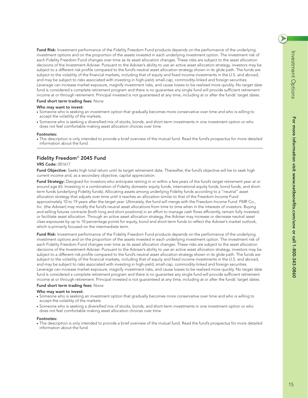**Fund Risk:** Investment performance of the Fidelity Freedom Fund products depends on the performance of the underlying investment options and on the proportion of the assets invested in each underlying investment option. The investment risk of each Fidelity Freedom Fund changes over time as its asset allocation changes. These risks are subject to the asset allocation decisions of the Investment Adviser. Pursuant to the Adviser's ability to use an active asset allocation strategy, investors may be subject to a different risk profile compared to the fund's neutral asset allocation strategy shown in its glide path. The funds are subject to the volatility of the financial markets, including that of equity and fixed income investments in the U.S. and abroad, and may be subject to risks associated with investing in high-yield, small-cap, commodity-linked and foreign securities. Leverage can increase market exposure, magnify investment risks, and cause losses to be realized more quickly. No target date fund is considered a complete retirement program and there is no guarantee any single fund will provide sufficient retirement income at or through retirement. Principal invested is not guaranteed at any time, including at or after the funds' target dates.

#### **Fund short term trading fees:** None

#### **Who may want to invest:**

- Someone who is seeking an investment option that gradually becomes more conservative over time and who is willing to accept the volatility of the markets.
- Someone who is seeking a diversified mix of stocks, bonds, and short-term investments in one investment option or who does not feel comfortable making asset allocation choices over time.

#### **Footnotes:**

● This description is only intended to provide a brief overview of the mutual fund. Read the fund's prospectus for more detailed information about the fund.

#### **Fidelity Freedom**® **2045 Fund**

#### **VRS Code:** 001617

Fund Objective: Seeks high total return until its target retirement date. Thereafter, the fund's objective will be to seek high current income and, as a secondary objective, capital appreciation.

Fund Strategy: Designed for investors who anticipate retiring in or within a few years of the fund's target retirement year at or around age 65. Investing in a combination of Fidelity domestic equity funds, international equity funds, bond funds, and shortterm funds (underlying Fidelity funds). Allocating assets among underlying Fidelity funds according to a "neutral" asset allocation strategy that adjusts over time until it reaches an allocation similar to that of the Freedom Income Fund approximately 10 to 19 years after the target year. Ultimately, the fund will merge with the Freedom Income Fund. FMR Co., Inc. (the Adviser) may modify the fund's neutral asset allocations from time to time when in the interests of investors. Buying and selling futures contracts (both long and short positions) in an effort to manage cash flows efficiently, remain fully invested, or facilitate asset allocation. Through an active asset allocation strategy, the Adviser may increase or decrease neutral asset class exposures by up to 10 percentage points for equity, bond and short-term funds to reflect the Adviser's market outlook, which is primarily focused on the intermediate term.

**Fund Risk:** Investment performance of the Fidelity Freedom Fund products depends on the performance of the underlying investment options and on the proportion of the assets invested in each underlying investment option. The investment risk of each Fidelity Freedom Fund changes over time as its asset allocation changes. These risks are subject to the asset allocation decisions of the Investment Adviser. Pursuant to the Adviser's ability to use an active asset allocation strategy, investors may be subject to a different risk profile compared to the fund's neutral asset allocation strategy shown in its glide path. The funds are subject to the volatility of the financial markets, including that of equity and fixed income investments in the U.S. and abroad, and may be subject to risks associated with investing in high-yield, small-cap, commodity-linked and foreign securities. Leverage can increase market exposure, magnify investment risks, and cause losses to be realized more quickly. No target date fund is considered a complete retirement program and there is no guarantee any single fund will provide sufficient retirement income at or through retirement. Principal invested is not guaranteed at any time, including at or after the funds' target dates.

#### **Fund short term trading fees:** None

#### **Who may want to invest:**

- Someone who is seeking an investment option that gradually becomes more conservative over time and who is willing to accept the volatility of the markets.
- Someone who is seeking a diversified mix of stocks, bonds, and short-term investments in one investment option or who does not feel comfortable making asset allocation choices over time.

#### **Footnotes:**

• This description is only intended to provide a brief overview of the mutual fund. Read the fund's prospectus for more detailed information about the fund.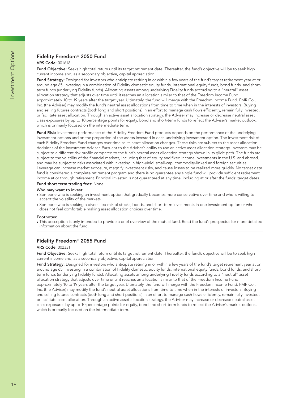## **Fidelity Freedom**® **2050 Fund**

#### **VRS Code:** 001618

**Fund Objective:** Seeks high total return until its target retirement date. Thereafter, the fund's objective will be to seek high current income and, as a secondary objective, capital appreciation.

**Fund Strategy:** Designed for investors who anticipate retiring in or within a few years of the fund's target retirement year at or around age 65. Investing in a combination of Fidelity domestic equity funds, international equity funds, bond funds, and shortterm funds (underlying Fidelity funds). Allocating assets among underlying Fidelity funds according to a "neutral" asset allocation strategy that adjusts over time until it reaches an allocation similar to that of the Freedom Income Fund approximately 10 to 19 years after the target year. Ultimately, the fund will merge with the Freedom Income Fund. FMR Co., Inc. (the Adviser) may modify the fund's neutral asset allocations from time to time when in the interests of investors. Buying and selling futures contracts (both long and short positions) in an effort to manage cash flows efficiently, remain fully invested, or facilitate asset allocation. Through an active asset allocation strategy, the Adviser may increase or decrease neutral asset class exposures by up to 10 percentage points for equity, bond and short-term funds to reflect the Adviser's market outlook, which is primarily focused on the intermediate term.

**Fund Risk:** Investment performance of the Fidelity Freedom Fund products depends on the performance of the underlying investment options and on the proportion of the assets invested in each underlying investment option. The investment risk of each Fidelity Freedom Fund changes over time as its asset allocation changes. These risks are subject to the asset allocation decisions of the Investment Adviser. Pursuant to the Adviser's ability to use an active asset allocation strategy, investors may be subject to a different risk profile compared to the fund's neutral asset allocation strategy shown in its glide path. The funds are subject to the volatility of the financial markets, including that of equity and fixed income investments in the U.S. and abroad, and may be subject to risks associated with investing in high-yield, small-cap, commodity-linked and foreign securities. Leverage can increase market exposure, magnify investment risks, and cause losses to be realized more quickly. No target date fund is considered a complete retirement program and there is no guarantee any single fund will provide sufficient retirement income at or through retirement. Principal invested is not guaranteed at any time, including at or after the funds' target dates.

#### **Fund short term trading fees:** None

#### **Who may want to invest:**

- Someone who is seeking an investment option that gradually becomes more conservative over time and who is willing to accept the volatility of the markets.
- Someone who is seeking a diversified mix of stocks, bonds, and short-term investments in one investment option or who does not feel comfortable making asset allocation choices over time.

#### **Footnotes:**

● This description is only intended to provide a brief overview of the mutual fund. Read the fund's prospectus for more detailed information about the fund.

#### **Fidelity Freedom**® **2055 Fund**

#### **VRS Code:** 002331

**Fund Objective:** Seeks high total return until its target retirement date. Thereafter, the fund's objective will be to seek high current income and, as a secondary objective, capital appreciation.

Fund Strategy: Designed for investors who anticipate retiring in or within a few years of the fund's target retirement year at or around age 65. Investing in a combination of Fidelity domestic equity funds, international equity funds, bond funds, and shortterm funds (underlying Fidelity funds). Allocating assets among underlying Fidelity funds according to a "neutral" asset allocation strategy that adjusts over time until it reaches an allocation similar to that of the Freedom Income Fund approximately 10 to 19 years after the target year. Ultimately, the fund will merge with the Freedom Income Fund. FMR Co., Inc. (the Adviser) may modify the fund's neutral asset allocations from time to time when in the interests of investors. Buying and selling futures contracts (both long and short positions) in an effort to manage cash flows efficiently, remain fully invested, or facilitate asset allocation. Through an active asset allocation strategy, the Adviser may increase or decrease neutral asset class exposures by up to 10 percentage points for equity, bond and short-term funds to reflect the Adviser's market outlook, which is primarily focused on the intermediate term.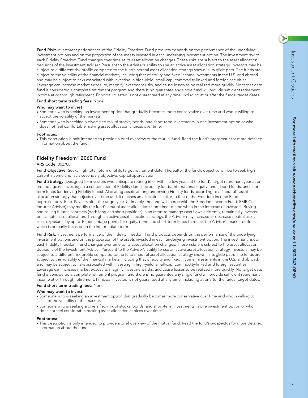$\blacktriangleright$ 

**Fund Risk:** Investment performance of the Fidelity Freedom Fund products depends on the performance of the underlying investment options and on the proportion of the assets invested in each underlying investment option. The investment risk of each Fidelity Freedom Fund changes over time as its asset allocation changes. These risks are subject to the asset allocation decisions of the Investment Adviser. Pursuant to the Adviser's ability to use an active asset allocation strategy, investors may be subject to a different risk profile compared to the fund's neutral asset allocation strategy shown in its glide path. The funds are subject to the volatility of the financial markets, including that of equity and fixed income investments in the U.S. and abroad, and may be subject to risks associated with investing in high-yield, small-cap, commodity-linked and foreign securities. Leverage can increase market exposure, magnify investment risks, and cause losses to be realized more quickly. No target date fund is considered a complete retirement program and there is no guarantee any single fund will provide sufficient retirement income at or through retirement. Principal invested is not guaranteed at any time, including at or after the funds' target dates.

#### **Fund short term trading fees:** None

#### **Who may want to invest:**

- Someone who is seeking an investment option that gradually becomes more conservative over time and who is willing to accept the volatility of the markets.
- Someone who is seeking a diversified mix of stocks, bonds, and short-term investments in one investment option or who does not feel comfortable making asset allocation choices over time.

#### **Footnotes:**

● This description is only intended to provide a brief overview of the mutual fund. Read the fund's prospectus for more detailed information about the fund.

### **Fidelity Freedom**® **2060 Fund**

#### **VRS Code:** 002708

Fund Objective: Seeks high total return until its target retirement date. Thereafter, the fund's objective will be to seek high current income and, as a secondary objective, capital appreciation.

Fund Strategy: Designed for investors who anticipate retiring in or within a few years of the fund's target retirement year at or around age 65. Investing in a combination of Fidelity domestic equity funds, international equity funds, bond funds, and shortterm funds (underlying Fidelity funds). Allocating assets among underlying Fidelity funds according to a "neutral" asset allocation strategy that adjusts over time until it reaches an allocation similar to that of the Freedom Income Fund approximately 10 to 19 years after the target year. Ultimately, the fund will merge with the Freedom Income Fund. FMR Co., Inc. (the Adviser) may modify the fund's neutral asset allocations from time to time when in the interests of investors. Buying and selling futures contracts (both long and short positions) in an effort to manage cash flows efficiently, remain fully invested, or facilitate asset allocation. Through an active asset allocation strategy, the Adviser may increase or decrease neutral asset class exposures by up to 10 percentage points for equity, bond and short-term funds to reflect the Adviser's market outlook, which is primarily focused on the intermediate term.

**Fund Risk:** Investment performance of the Fidelity Freedom Fund products depends on the performance of the underlying investment options and on the proportion of the assets invested in each underlying investment option. The investment risk of each Fidelity Freedom Fund changes over time as its asset allocation changes. These risks are subject to the asset allocation decisions of the Investment Adviser. Pursuant to the Adviser's ability to use an active asset allocation strategy, investors may be subject to a different risk profile compared to the fund's neutral asset allocation strategy shown in its glide path. The funds are subject to the volatility of the financial markets, including that of equity and fixed income investments in the U.S. and abroad, and may be subject to risks associated with investing in high-yield, small-cap, commodity-linked and foreign securities. Leverage can increase market exposure, magnify investment risks, and cause losses to be realized more quickly. No target date fund is considered a complete retirement program and there is no guarantee any single fund will provide sufficient retirement income at or through retirement. Principal invested is not guaranteed at any time, including at or after the funds' target dates.

#### **Fund short term trading fees:** None

#### **Who may want to invest:**

- Someone who is seeking an investment option that gradually becomes more conservative over time and who is willing to accept the volatility of the markets.
- Someone who is seeking a diversified mix of stocks, bonds, and short-term investments in one investment option or who does not feel comfortable making asset allocation choices over time.

#### **Footnotes:**

• This description is only intended to provide a brief overview of the mutual fund. Read the fund's prospectus for more detailed information about the fund.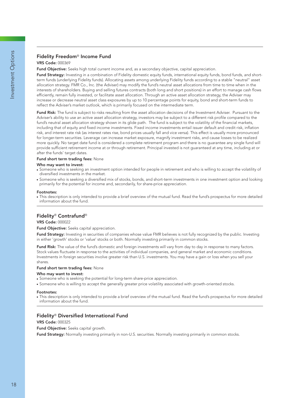## **VRS Code:** 000369

**Fund Objective:** Seeks high total current income and, as a secondary objective, capital appreciation.

**Fund Strategy:** Investing in a combination of Fidelity domestic equity funds, international equity funds, bond funds, and shortterm funds (underlying Fidelity funds). Allocating assets among underlying Fidelity funds according to a stable "neutral" asset allocation strategy. FMR Co., Inc. (the Adviser) may modify the fund's neutral asset allocations from time to time when in the interests of shareholders. Buying and selling futures contracts (both long and short positions) in an effort to manage cash flows efficiently, remain fully invested, or facilitate asset allocation. Through an active asset allocation strategy, the Adviser may increase or decrease neutral asset class exposures by up to 10 percentage points for equity, bond and short-term funds to reflect the Adviser's market outlook, which is primarily focused on the intermediate term.

**Fund Risk:** The fund is subject to risks resulting from the asset allocation decisions of the Investment Adviser. Pursuant to the Adviser's ability to use an active asset allocation strategy, investors may be subject to a different risk profile compared to the fund's neutral asset allocation strategy shown in its glide path. The fund is subject to the volatility of the financial markets, including that of equity and fixed income investments. Fixed income investments entail issuer default and credit risk, inflation risk, and interest rate risk (as interest rates rise, bond prices usually fall and vice versa). This effect is usually more pronounced for longer-term securities. Leverage can increase market exposure, magnify investment risks, and cause losses to be realized more quickly. No target date fund is considered a complete retirement program and there is no guarantee any single fund will provide sufficient retirement income at or through retirement. Principal invested is not guaranteed at any time, including at or after the funds' target dates.

#### **Fund short term trading fees:** None

#### **Who may want to invest:**

- Someone who is seeking an investment option intended for people in retirement and who is willing to accept the volatility of diversified investments in the market.
- Someone who is seeking a diversified mix of stocks, bonds, and short-term investments in one investment option and looking primarily for the potential for income and, secondarily, for share-price appreciation.

#### **Footnotes:**

● This description is only intended to provide a brief overview of the mutual fund. Read the fund's prospectus for more detailed information about the fund.

## **Fidelity**® **Contrafund**®

#### **VRS Code:** 000022

**Fund Objective:** Seeks capital appreciation.

Fund Strategy: Investing in securities of companies whose value FMR believes is not fully recognized by the public. Investing in either 'growth' stocks or 'value' stocks or both. Normally investing primarily in common stocks.

**Fund Risk:** The value of the fund's domestic and foreign investments will vary from day to day in response to many factors. Stock values fluctuate in response to the activities of individual companies, and general market and economic conditions. Investments in foreign securities involve greater risk than U.S. investments. You may have a gain or loss when you sell your shares.

#### **Fund short term trading fees:** None

#### **Who may want to invest:**

- Someone who is seeking the potential for long-term share-price appreciation.
- Someone who is willing to accept the generally greater price volatility associated with growth-oriented stocks.

#### **Footnotes:**

● This description is only intended to provide a brief overview of the mutual fund. Read the fund's prospectus for more detailed information about the fund.

#### **Fidelity**® **Diversified International Fund**

#### **VRS Code:** 000325

**Fund Objective:** Seeks capital growth.

**Fund Strategy:** Normally investing primarily in non-U.S. securities. Normally investing primarily in common stocks.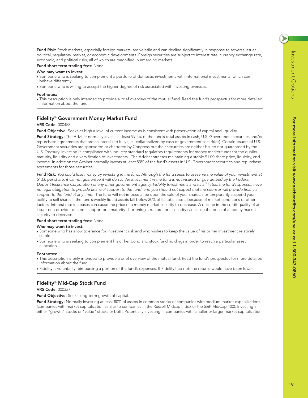$\blacktriangleright$ 

**Fund Risk:** Stock markets, especially foreign markets, are volatile and can decline significantly in response to adverse issuer, political, regulatory, market, or economic developments. Foreign securities are subject to interest rate, currency exchange rate, economic, and political risks, all of which are magnified in emerging markets.

#### **Fund short term trading fees:** None

#### **Who may want to invest:**

- Someone who is seeking to complement a portfolio of domestic investments with international investments, which can behave differently.
- Someone who is willing to accept the higher degree of risk associated with investing overseas.

#### **Footnotes:**

● This description is only intended to provide a brief overview of the mutual fund. Read the fund's prospectus for more detailed information about the fund.

#### **Fidelity**® **Government Money Market Fund**

#### **VRS Code:** 000458

**Fund Objective:** Seeks as high a level of current income as is consistent with preservation of capital and liquidity.

**Fund Strategy:** The Adviser normally invests at least 99.5% of the fund's total assets in cash, U.S. Government securities and/or repurchase agreements that are collateralized fully (i.e., collateralized by cash or government securities). Certain issuers of U.S. Government securities are sponsored or chartered by Congress but their securities are neither issued nor guaranteed by the U.S. Treasury. Investing in compliance with industry-standard regulatory requirements for money market funds for the quality, maturity, liquidity and diversification of investments. The Adviser stresses maintaining a stable \$1.00 share price, liquidity, and income. In addition the Adviser normally invests at least 80% of the fund's assets in U.S. Government securities and repurchase agreements for those securities.

**Fund Risk:** *You could lose money by investing in the fund. Although the fund seeks to preserve the value of your investment at \$1.00 per share, it cannot guarantee it will do so. An investment in the fund is not insured or guaranteed by the Federal Deposit Insurance Corporation or any other government agency. Fidelity Investments and its affiliates, the fund's sponsor, have no legal obligation to provide financial support to the fund, and you should not expect that the sponsor will provide financial support to the fund at any time.* The fund will not impose a fee upon the sale of your shares, nor temporarily suspend your ability to sell shares if the fund's weekly liquid assets fall below 30% of its total assets because of market conditions or other factors. Interest rate increases can cause the price of a money market security to decrease. A decline in the credit quality of an issuer or a provider of credit support or a maturity-shortening structure for a security can cause the price of a money market security to decrease.

#### **Fund short term trading fees:** None

#### **Who may want to invest:**

- Someone who has a low tolerance for investment risk and who wishes to keep the value of his or her investment relatively stable.
- Someone who is seeking to complement his or her bond and stock fund holdings in order to reach a particular asset allocation.

#### **Footnotes:**

- This description is only intended to provide a brief overview of the mutual fund. Read the fund's prospectus for more detailed information about the fund.
- Fidelity is voluntarily reimbursing a portion of the fund's expenses. If Fidelity had not, the returns would have been lower.

#### **Fidelity**® **Mid-Cap Stock Fund**

#### **VRS Code:** 000337

**Fund Objective:** Seeks long-term growth of capital.

**Fund Strategy:** Normally investing at least 80% of assets in common stocks of companies with medium market capitalizations (companies with market capitalization similar to companies in the Russell Midcap Index or the S&P MidCap 400). Investing in either "growth" stocks or "value" stocks or both. Potentially investing in companies with smaller or larger market capitalization.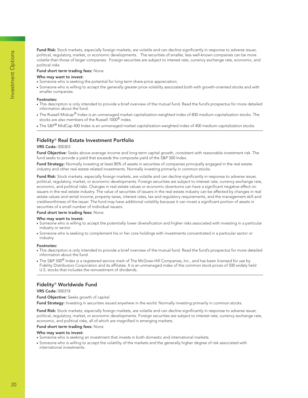**Fund Risk:** Stock markets, especially foreign markets, are volatile and can decline significantly in response to adverse issuer, political, regulatory, market, or economic developments. The securities of smaller, less well-known companies can be more volatile than those of larger companies. Foreign securities are subject to interest rate, currency exchange rate, economic, and political risks

#### **Fund short term trading fees:** None

#### **Who may want to invest:**

- Someone who is seeking the potential for long-term share-price appreciation.
- Someone who is willing to accept the generally greater price volatility associated both with growth-oriented stocks and with smaller companies.

#### **Footnotes:**

- This description is only intended to provide a brief overview of the mutual fund. Read the fund's prospectus for more detailed information about the fund.
- $\bullet$  The Russell Midcap® Index is an unmanaged market capitalization-weighted index of 800 medium-capitalization stocks. The stocks are also members of the Russell 1000® index.
- The S&P® MidCap 400 Index is an unmanaged market capitalization-weighted index of 400 medium-capitalization stocks.

### **Fidelity**® **Real Estate Investment Portfolio**

#### **VRS Code:** 000303

**Fund Objective:** Seeks above-average income and long-term capital growth, consistent with reasonable investment risk. The fund seeks to provide a yield that exceeds the composite yield of the S&P 500 Index.

**Fund Strategy:** Normally investing at least 80% of assets in securities of companies principally engaged in the real estate industry and other real estate related investments. Normally investing primarily in common stocks.

**Fund Risk:** Stock markets, especially foreign markets, are volatile and can decline significantly in response to adverse issuer, political, regulatory, market, or economic developments. Foreign securities are subject to interest rate, currency exchange rate, economic, and political risks. Changes in real estate values or economic downturns can have a significant negative effect on issuers in the real estate industry. The value of securities of issuers in the real estate industry can be affected by changes in real estate values and rental income, property taxes, interest rates, tax and regulatory requirements, and the management skill and creditworthiness of the issuer. The fund may have additional volatility because it can invest a significant portion of assets in securities of a small number of individual issuers.

#### **Fund short term trading fees:** None

#### **Who may want to invest:**

- Someone who is willing to accept the potentially lower diversification and higher risks associated with investing in a particular industry or sector.
- Someone who is seeking to complement his or her core holdings with investments concentrated in a particular sector or industry.

#### **Footnotes:**

- This description is only intended to provide a brief overview of the mutual fund. Read the fund's prospectus for more detailed information about the fund.
- The S&P 500<sup>®</sup> Index is a registered service mark of The McGraw-Hill Companies, Inc., and has been licensed for use by Fidelity Distributors Corporation and its affiliates. It is an unmanaged index of the common stock prices of 500 widely held U.S. stocks that includes the reinvestment of dividends.

## **Fidelity**® **Worldwide Fund**

#### **VRS Code:** 000318

**Fund Objective:** Seeks growth of capital.

**Fund Strategy:** Investing in securities issued anywhere in the world. Normally investing primarily in common stocks.

**Fund Risk:** Stock markets, especially foreign markets, are volatile and can decline significantly in response to adverse issuer, political, regulatory, market, or economic developments. Foreign securities are subject to interest rate, currency exchange rate, economic, and political risks, all of which are magnified in emerging markets.

#### **Fund short term trading fees:** None

- Someone who is seeking an investment that invests in both domestic and international markets.
- Someone who is willing to accept the volatility of the markets and the generally higher degree of risk associated with international investments.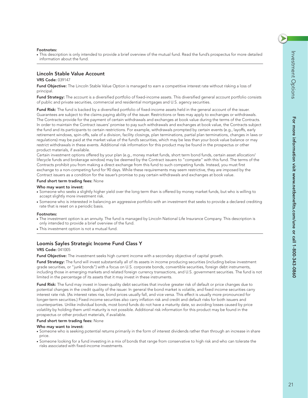#### **Footnotes:**

● This description is only intended to provide a brief overview of the mutual fund. Read the fund's prospectus for more detailed information about the fund.

## **Lincoln Stable Value Account**

#### **VRS Code:** 039147

Fund Objective: The Lincoln Stable Value Option is managed to earn a competitive interest rate without risking a loss of principal.

**Fund Strategy:** The account is a diversified portfolio of fixed-income assets. This diversified general account portfolio consists of public and private securities, commercial and residential mortgages and U.S. agency securities.

**Fund Risk:** The fund is backed by a diversified portfolio of fixed-income assets held in the general account of the issuer. Guarantees are subject to the claims paying ability of the issuer. Restrictions or fees may apply to exchanges or withdrawals. The Contracts provide for the payment of certain withdrawals and exchanges at book value during the terms of the Contracts. In order to maintain the Contract issuers' promise to pay such withdrawals and exchanges at book value, the Contracts subject the fund and its participants to certain restrictions. For example, withdrawals prompted by certain events (e.g., layoffs, early retirement windows, spin-offs, sale of a division, facility closings, plan terminations, partial plan terminations, changes in laws or regulations) may be paid at the market value of the fund's securities, which may be less than your book value balance or may restrict withdrawals in these events. Additional risk information for this product may be found in the prospectus or other product materials, if available.

Certain investment options offered by your plan (e.g., money market funds, short term bond funds, certain asset allocation/ lifecycle funds and brokerage window) may be deemed by the Contract issuers to "compete" with this fund. The terms of the Contracts prohibit you from making a direct exchange from this fund to such competing funds. Instead, you must first exchange to a non-competing fund for 90 days. While these requirements may seem restrictive, they are imposed by the Contract issuers as a condition for the issuer's promise to pay certain withdrawals and exchanges at book value.

#### **Fund short term trading fees:** None

#### **Who may want to invest:**

- Someone who seeks a slightly higher yield over the long term than is offered by money market funds, but who is willing to accept slightly more investment risk.
- Someone who is interested in balancing an aggressive portfolio with an investment that seeks to provide a declared crediting rate that is reset on a periodic basis.

#### **Footnotes:**

- The investment option is an annuity. The fund is managed by Lincoln National Life Insurance Company. This description is only intended to provide a brief overview of the fund.
- This investment option is not a mutual fund.

#### **Loomis Sayles Strategic Income Fund Class Y**

#### **VRS Code:** 041005

**Fund Objective:** The investment seeks high current income with a secondary objective of capital growth.

**Fund Strategy:** The fund will invest substantially all of its assets in income producing securities (including below investment grade securities, or "junk bonds") with a focus on U.S. corporate bonds, convertible securities, foreign debt instruments, including those in emerging markets and related foreign currency transactions, and U.S. government securities. The fund is not limited in the percentage of its assets that it may invest in these instruments.

**Fund Risk:** The fund may invest in lower-quality debt securities that involve greater risk of default or price changes due to potential changes in the credit quality of the issuer. In general the bond market is volatile, and fixed income securities carry interest rate risk. (As interest rates rise, bond prices usually fall, and vice versa. This effect is usually more pronounced for longer-term securities.) Fixed income securities also carry inflation risk and credit and default risks for both issuers and counterparties. Unlike individual bonds, most bond funds do not have a maturity date, so avoiding losses caused by price volatility by holding them until maturity is not possible. Additional risk information for this product may be found in the prospectus or other product materials, if available.

#### **Fund short term trading fees:** None

- Someone who is seeking potential returns primarily in the form of interest dividends rather than through an increase in share price.
- Someone looking for a fund investing in a mix of bonds that range from conservative to high risk and who can tolerate the risks associated with fixed-income investments.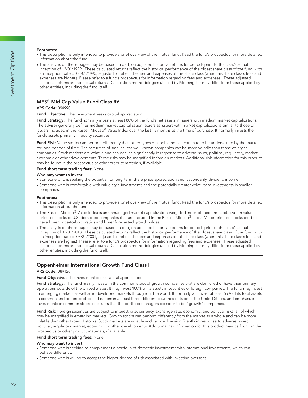#### **Footnotes:**

- This description is only intended to provide a brief overview of the mutual fund. Read the fund's prospectus for more detailed information about the fund.
- The analysis on these pages may be based, in part, on adjusted historical returns for periods prior to the class's actual inception of 12/01/1999. These calculated returns reflect the historical performance of the oldest share class of the fund, with an inception date of 05/01/1995, adjusted to reflect the fees and expenses of this share class (when this share class's fees and expenses are higher.) Please refer to a fund's prospectus for information regarding fees and expenses. These adjusted historical returns are not actual returns. Calculation methodologies utilized by Morningstar may differ from those applied by other entities, including the fund itself.

## **MFS**® **Mid Cap Value Fund Class R6**

## **VRS Code:** 094990

**Fund Objective:** The investment seeks capital appreciation.

**Fund Strategy:** The fund normally invests at least 80% of the fund's net assets in issuers with medium market capitalizations. The adviser generally defines medium market capitalization issuers as issuers with market capitalizations similar to those of issuers included in the Russell Midcap® Value Index over the last 13 months at the time of purchase. It normally invests the fund's assets primarily in equity securities.

**Fund Risk:** Value stocks can perform differently than other types of stocks and can continue to be undervalued by the market for long periods of time. The securities of smaller, less well-known companies can be more volatile than those of larger companies. Stock markets are volatile and can decline significantly in response to adverse issuer, political, regulatory, market, economic or other developments. These risks may be magnified in foreign markets. Additional risk information for this product may be found in the prospectus or other product materials, if available.

#### **Fund short term trading fees:** None

#### **Who may want to invest:**

- Someone who is seeking the potential for long-term share-price appreciation and, secondarily, dividend income.
- Someone who is comfortable with value-style investments and the potentially greater volatility of investments in smaller companies.

#### **Footnotes:**

- This description is only intended to provide a brief overview of the mutual fund. Read the fund's prospectus for more detailed information about the fund.
- $\bullet$  The Russell Midcap® Value Index is an unmanaged market capitalization-weighted index of medium-capitalization valueoriented stocks of U.S. domiciled companies that are included in the Russell Midcap® Index. Value-oriented stocks tend to have lower price-to-book ratios and lower forecasted growth values.
- The analysis on these pages may be based, in part, on adjusted historical returns for periods prior to the class's actual inception of 02/01/2013. These calculated returns reflect the historical performance of the oldest share class of the fund, with an inception date of 08/31/2001, adjusted to reflect the fees and expenses of this share class (when this share class's fees and expenses are higher.) Please refer to a fund's prospectus for information regarding fees and expenses. These adjusted historical returns are not actual returns. Calculation methodologies utilized by Morningstar may differ from those applied by other entities, including the fund itself.

## **Oppenheimer International Growth Fund Class I**

#### **VRS Code:** 089120

#### **Fund Objective:** The investment seeks capital appreciation.

**Fund Strategy:** The fund mainly invests in the common stock of growth companies that are domiciled or have their primary operations outside of the United States. It may invest 100% of its assets in securities of foreign companies. The fund may invest in emerging markets as well as in developed markets throughout the world. It normally will invest at least 65% of its total assets in common and preferred stocks of issuers in at least three different countries outside of the United States, and emphasize investments in common stocks of issuers that the portfolio managers consider to be "growth" companies.

**Fund Risk:** Foreign securities are subject to interest-rate, currency-exchange-rate, economic, and political risks, all of which may be magnified in emerging markets. Growth stocks can perform differently from the market as a whole and can be more volatile than other types of stocks. Stock markets are volatile and can decline significantly in response to adverse issuer, political, regulatory, market, economic or other developments. Additional risk information for this product may be found in the prospectus or other product materials, if available.

### **Fund short term trading fees:** None

- Someone who is seeking to complement a portfolio of domestic investments with international investments, which can behave differently.
- Someone who is willing to accept the higher degree of risk associated with investing overseas.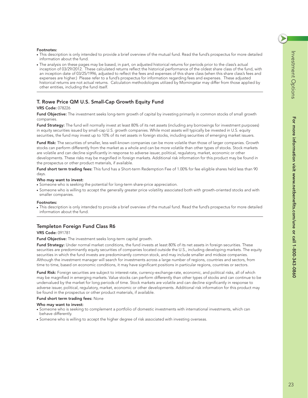**For more information visit www.netbenefits.com/une or call 1-800-343-0860**

For more information visit www.netbenefits.com/une or call 1-800-343-0860

## **Footnotes:**

- This description is only intended to provide a brief overview of the mutual fund. Read the fund's prospectus for more detailed information about the fund.
- The analysis on these pages may be based, in part, on adjusted historical returns for periods prior to the class's actual inception of 03/29/2012. These calculated returns reflect the historical performance of the oldest share class of the fund, with an inception date of 03/25/1996, adjusted to reflect the fees and expenses of this share class (when this share class's fees and expenses are higher.) Please refer to a fund's prospectus for information regarding fees and expenses. These adjusted historical returns are not actual returns. Calculation methodologies utilized by Morningstar may differ from those applied by other entities, including the fund itself.

## **T. Rowe Price QM U.S. Small-Cap Growth Equity Fund**

## **VRS Code:** 078226

**Fund Objective:** The investment seeks long-term growth of capital by investing primarily in common stocks of small growth companies.

**Fund Strategy:** The fund will normally invest at least 80% of its net assets (including any borrowings for investment purposes) in equity securities issued by small-cap U.S. growth companies. While most assets will typically be invested in U.S. equity securities, the fund may invest up to 10% of its net assets in foreign stocks, including securities of emerging market issuers.

**Fund Risk:** The securities of smaller, less well-known companies can be more volatile than those of larger companies. Growth stocks can perform differently from the market as a whole and can be more volatile than other types of stocks. Stock markets are volatile and can decline significantly in response to adverse issuer, political, regulatory, market, economic or other developments. These risks may be magnified in foreign markets. Additional risk information for this product may be found in the prospectus or other product materials, if available.

**Fund short term trading fees:** This fund has a Short-term Redemption Fee of 1.00% for fee eligible shares held less than 90 days.

#### **Who may want to invest:**

- Someone who is seeking the potential for long-term share-price appreciation.
- Someone who is willing to accept the generally greater price volatility associated both with growth-oriented stocks and with smaller companies.

#### **Footnotes:**

● This description is only intended to provide a brief overview of the mutual fund. Read the fund's prospectus for more detailed information about the fund.

## **Templeton Foreign Fund Class R6**

#### **VRS Code:** 091781

**Fund Objective:** The investment seeks long-term capital growth.

**Fund Strategy:** Under normal market conditions, the fund invests at least 80% of its net assets in foreign securities. These securities are predominantly equity securities of companies located outside the U.S., including developing markets. The equity securities in which the fund invests are predominantly common stock, and may include smaller and midsize companies. Although the investment manager will search for investments across a large number of regions, countries and sectors, from time to time, based on economic conditions, it may have significant positions in particular regions, countries or sectors.

**Fund Risk:** Foreign securities are subject to interest-rate, currency-exchange-rate, economic, and political risks, all of which may be magnified in emerging markets. Value stocks can perform differently than other types of stocks and can continue to be undervalued by the market for long periods of time. Stock markets are volatile and can decline significantly in response to adverse issuer, political, regulatory, market, economic or other developments. Additional risk information for this product may be found in the prospectus or other product materials, if available.

#### **Fund short term trading fees:** None

- Someone who is seeking to complement a portfolio of domestic investments with international investments, which can behave differently.
- Someone who is willing to accept the higher degree of risk associated with investing overseas.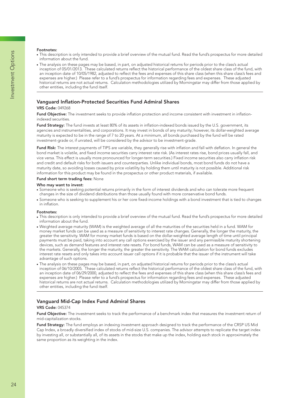#### **Footnotes:**

- This description is only intended to provide a brief overview of the mutual fund. Read the fund's prospectus for more detailed information about the fund.
- The analysis on these pages may be based, in part, on adjusted historical returns for periods prior to the class's actual inception of 05/01/2013. These calculated returns reflect the historical performance of the oldest share class of the fund, with an inception date of 10/05/1982, adjusted to reflect the fees and expenses of this share class (when this share class's fees and expenses are higher.) Please refer to a fund's prospectus for information regarding fees and expenses. These adjusted historical returns are not actual returns. Calculation methodologies utilized by Morningstar may differ from those applied by other entities, including the fund itself.

#### **Vanguard Inflation-Protected Securities Fund Admiral Shares**

#### **VRS Code:** 049268

**Fund Objective:** The investment seeks to provide inflation protection and income consistent with investment in inflationindexed securities.

**Fund Strategy:** The fund invests at least 80% of its assets in inflation-indexed bonds issued by the U.S. government, its agencies and instrumentalities, and corporations. It may invest in bonds of any maturity; however, its dollar-weighted average maturity is expected to be in the range of 7 to 20 years. At a minimum, all bonds purchased by the fund will be rated investment-grade or, if unrated, will be considered by the advisor to be investment-grade.

**Fund Risk:** The interest payments of TIPS are variable, they generally rise with inflation and fall with deflation. In general the bond market is volatile, and fixed income securities carry interest rate risk. (As interest rates rise, bond prices usually fall, and vice versa. This effect is usually more pronounced for longer-term securities.) Fixed income securities also carry inflation risk and credit and default risks for both issuers and counterparties. Unlike individual bonds, most bond funds do not have a maturity date, so avoiding losses caused by price volatility by holding them until maturity is not possible. Additional risk information for this product may be found in the prospectus or other product materials, if available.

#### **Fund short term trading fees:** None

#### **Who may want to invest:**

- Someone who is seeking potential returns primarily in the form of interest dividends and who can tolerate more frequent changes in the size of dividend distributions than those usually found with more conservative bond funds.
- Someone who is seeking to supplement his or her core fixed-income holdings with a bond investment that is tied to changes in inflation.

#### **Footnotes:**

- This description is only intended to provide a brief overview of the mutual fund. Read the fund's prospectus for more detailed information about the fund.
- Weighted average maturity (WAM) is the weighted average of all the maturities of the securities held in a fund. WAM for money market funds can be used as a measure of sensitivity to interest rate changes. Generally, the longer the maturity, the greater the sensitivity. WAM for money market funds is based on the dollar-weighted average length of time until principal payments must be paid, taking into account any call options exercised by the issuer and any permissible maturity shortening devices, such as demand features and interest rate resets. For bond funds, WAM can be used as a measure of sensitivity to the markets. Generally, the longer the maturity, the greater the sensitivity. The WAM calculation for bond funds excludes interest rate resets and only takes into account issuer call options if it is probable that the issuer of the instrument will take advantage of such options.
- The analysis on these pages may be based, in part, on adjusted historical returns for periods prior to the class's actual inception of 06/10/2005. These calculated returns reflect the historical performance of the oldest share class of the fund, with an inception date of 06/29/2000, adjusted to reflect the fees and expenses of this share class (when this share class's fees and expenses are higher.) Please refer to a fund's prospectus for information regarding fees and expenses. These adjusted historical returns are not actual returns. Calculation methodologies utilized by Morningstar may differ from those applied by other entities, including the fund itself.

## **Vanguard Mid-Cap Index Fund Admiral Shares**

#### **VRS Code:** 045374

**Fund Objective:** The investment seeks to track the performance of a benchmark index that measures the investment return of mid-capitalization stocks.

**Fund Strategy:** The fund employs an indexing investment approach designed to track the performance of the CRSP US Mid Cap Index, a broadly diversified index of stocks of mid-size U.S. companies. The advisor attempts to replicate the target index by investing all, or substantially all, of its assets in the stocks that make up the index, holding each stock in approximately the same proportion as its weighting in the index.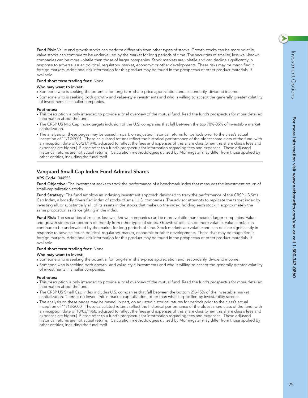$\blacktriangleright$ 

**Fund Risk:** Value and growth stocks can perform differently from other types of stocks. Growth stocks can be more volatile. Value stocks can continue to be undervalued by the market for long periods of time. The securities of smaller, less well-known companies can be more volatile than those of larger companies. Stock markets are volatile and can decline significantly in response to adverse issuer, political, regulatory, market, economic or other developments. These risks may be magnified in foreign markets. Additional risk information for this product may be found in the prospectus or other product materials, if available.

#### **Fund short term trading fees:** None

#### **Who may want to invest:**

- Someone who is seeking the potential for long-term share-price appreciation and, secondarily, dividend income.
- Someone who is seeking both growth- and value-style investments and who is willing to accept the generally greater volatility of investments in smaller companies.

#### **Footnotes:**

- This description is only intended to provide a brief overview of the mutual fund. Read the fund's prospectus for more detailed information about the fund.
- The CRSP US Mid Cap Index targets inclusion of the U.S. companies that fall between the top 70%-85% of investable market capitalization.
- The analysis on these pages may be based, in part, on adjusted historical returns for periods prior to the class's actual inception of 11/12/2001. These calculated returns reflect the historical performance of the oldest share class of the fund, with an inception date of 05/21/1998, adjusted to reflect the fees and expenses of this share class (when this share class's fees and expenses are higher.) Please refer to a fund's prospectus for information regarding fees and expenses. These adjusted historical returns are not actual returns. Calculation methodologies utilized by Morningstar may differ from those applied by other entities, including the fund itself.

### **Vanguard Small-Cap Index Fund Admiral Shares**

#### **VRS Code:** 044553

**Fund Objective:** The investment seeks to track the performance of a benchmark index that measures the investment return of small-capitalization stocks.

**Fund Strategy:** The fund employs an indexing investment approach designed to track the performance of the CRSP US Small Cap Index, a broadly diversified index of stocks of small U.S. companies. The advisor attempts to replicate the target index by investing all, or substantially all, of its assets in the stocks that make up the index, holding each stock in approximately the same proportion as its weighting in the index.

**Fund Risk:** The securities of smaller, less well-known companies can be more volatile than those of larger companies. Value and growth stocks can perform differently from other types of stocks. Growth stocks can be more volatile. Value stocks can continue to be undervalued by the market for long periods of time. Stock markets are volatile and can decline significantly in response to adverse issuer, political, regulatory, market, economic or other developments. These risks may be magnified in foreign markets. Additional risk information for this product may be found in the prospectus or other product materials, if available.

#### **Fund short term trading fees:** None

#### **Who may want to invest:**

- Someone who is seeking the potential for long-term share-price appreciation and, secondarily, dividend income.
- Someone who is seeking both growth- and value-style investments and who is willing to accept the generally greater volatility of investments in smaller companies.

#### **Footnotes:**

- This description is only intended to provide a brief overview of the mutual fund. Read the fund's prospectus for more detailed information about the fund.
- The CRSP US Small Cap Index includes U.S. companies that fall between the bottom 2%-15% of the investable market capitalization. There is no lower limit in market capitalization, other than what is specified by investability screens.
- The analysis on these pages may be based, in part, on adjusted historical returns for periods prior to the class's actual inception of 11/13/2000. These calculated returns reflect the historical performance of the oldest share class of the fund, with an inception date of 10/03/1960, adjusted to reflect the fees and expenses of this share class (when this share class's fees and expenses are higher.) Please refer to a fund's prospectus for information regarding fees and expenses. These adjusted historical returns are not actual returns. Calculation methodologies utilized by Morningstar may differ from those applied by other entities, including the fund itself.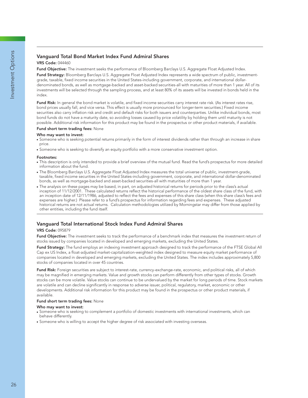## **Vanguard Total Bond Market Index Fund Admiral Shares**

### **VRS Code:** 044460

**Fund Objective:** The investment seeks the performance of Bloomberg Barclays U.S. Aggregate Float Adjusted Index.

**Fund Strategy:** Bloomberg Barclays U.S. Aggregate Float Adjusted Index represents a wide spectrum of public, investmentgrade, taxable, fixed income securities in the United States-including government, corporate, and international dollardenominated bonds, as well as mortgage-backed and asset-backed securities-all with maturities of more than 1 year. All of its investments will be selected through the sampling process, and at least 80% of its assets will be invested in bonds held in the index.

Fund Risk: In general the bond market is volatile, and fixed income securities carry interest rate risk. (As interest rates rise, bond prices usually fall, and vice versa. This effect is usually more pronounced for longer-term securities.) Fixed income securities also carry inflation risk and credit and default risks for both issuers and counterparties. Unlike individual bonds, most bond funds do not have a maturity date, so avoiding losses caused by price volatility by holding them until maturity is not possible. Additional risk information for this product may be found in the prospectus or other product materials, if available.

#### **Fund short term trading fees:** None

#### **Who may want to invest:**

- Someone who is seeking potential returns primarily in the form of interest dividends rather than through an increase in share price.
- Someone who is seeking to diversify an equity portfolio with a more conservative investment option.

#### **Footnotes:**

- This description is only intended to provide a brief overview of the mutual fund. Read the fund's prospectus for more detailed information about the fund.
- The Bloomberg Barclays U.S. Aggregate Float Adjusted Index measures the total universe of public, investment-grade, taxable, fixed income securities in the United States-including government, corporate, and international dollar-denominated bonds, as well as mortgage-backed and asset-backed securities-all with maturities of more than 1 year.
- The analysis on these pages may be based, in part, on adjusted historical returns for periods prior to the class's actual inception of 11/12/2001. These calculated returns reflect the historical performance of the oldest share class of the fund, with an inception date of 12/11/1986, adjusted to reflect the fees and expenses of this share class (when this share class's fees and expenses are higher.) Please refer to a fund's prospectus for information regarding fees and expenses. These adjusted historical returns are not actual returns. Calculation methodologies utilized by Morningstar may differ from those applied by other entities, including the fund itself.

## **Vanguard Total International Stock Index Fund Admiral Shares**

#### **VRS Code:** 095879

**Fund Objective:** The investment seeks to track the performance of a benchmark index that measures the investment return of stocks issued by companies located in developed and emerging markets, excluding the United States.

**Fund Strategy:** The fund employs an indexing investment approach designed to track the performance of the FTSE Global All Cap ex US Index, a float-adjusted market-capitalization-weighted index designed to measure equity market performance of companies located in developed and emerging markets, excluding the United States. The index includes approximately 5,800 stocks of companies located in over 45 countries.

**Fund Risk:** Foreign securities are subject to interest-rate, currency-exchange-rate, economic, and political risks, all of which may be magnified in emerging markets. Value and growth stocks can perform differently from other types of stocks. Growth stocks can be more volatile. Value stocks can continue to be undervalued by the market for long periods of time. Stock markets are volatile and can decline significantly in response to adverse issuer, political, regulatory, market, economic or other developments. Additional risk information for this product may be found in the prospectus or other product materials, if available.

#### **Fund short term trading fees:** None

- Someone who is seeking to complement a portfolio of domestic investments with international investments, which can behave differently.
- Someone who is willing to accept the higher degree of risk associated with investing overseas.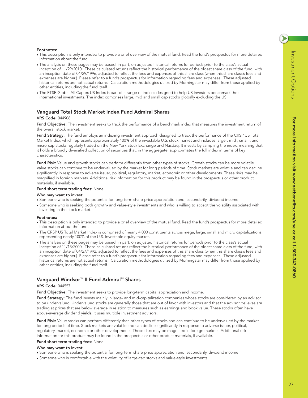#### **Footnotes:**

- This description is only intended to provide a brief overview of the mutual fund. Read the fund's prospectus for more detailed information about the fund.
- The analysis on these pages may be based, in part, on adjusted historical returns for periods prior to the class's actual inception of 11/29/2010. These calculated returns reflect the historical performance of the oldest share class of the fund, with an inception date of 04/29/1996, adjusted to reflect the fees and expenses of this share class (when this share class's fees and expenses are higher.) Please refer to a fund's prospectus for information regarding fees and expenses. These adjusted historical returns are not actual returns. Calculation methodologies utilized by Morningstar may differ from those applied by other entities, including the fund itself.
- The FTSE Global All Cap ex US Index is part of a range of indices designed to help US investors benchmark their international investments. The index comprises large, mid and small cap stocks globally excluding the US.

## **Vanguard Total Stock Market Index Fund Admiral Shares**

#### **VRS Code:** 044908

**Fund Objective:** The investment seeks to track the performance of a benchmark index that measures the investment return of the overall stock market.

**Fund Strategy:** The fund employs an indexing investment approach designed to track the performance of the CRSP US Total Market Index, which represents approximately 100% of the investable U.S. stock market and includes large-, mid-, small-, and micro-cap stocks regularly traded on the New York Stock Exchange and Nasdaq. It invests by sampling the index, meaning that it holds a broadly diversified collection of securities that, in the aggregate, approximates the full index in terms of key characteristics.

**Fund Risk:** Value and growth stocks can perform differently from other types of stocks. Growth stocks can be more volatile. Value stocks can continue to be undervalued by the market for long periods of time. Stock markets are volatile and can decline significantly in response to adverse issuer, political, regulatory, market, economic or other developments. These risks may be magnified in foreign markets. Additional risk information for this product may be found in the prospectus or other product materials, if available.

#### **Fund short term trading fees:** None

#### **Who may want to invest:**

- Someone who is seeking the potential for long-term share-price appreciation and, secondarily, dividend income.
- Someone who is seeking both growth- and value-style investments and who is willing to accept the volatility associated with investing in the stock market.

#### **Footnotes:**

- This description is only intended to provide a brief overview of the mutual fund. Read the fund's prospectus for more detailed information about the fund.
- The CRSP US Total Market Index is comprised of nearly 4,000 constituents across mega, large, small and micro capitalizations, representing nearly 100% of the U.S. investable equity market.
- The analysis on these pages may be based, in part, on adjusted historical returns for periods prior to the class's actual inception of 11/13/2000. These calculated returns reflect the historical performance of the oldest share class of the fund, with an inception date of 04/27/1992, adjusted to reflect the fees and expenses of this share class (when this share class's fees and expenses are higher.) Please refer to a fund's prospectus for information regarding fees and expenses. These adjusted historical returns are not actual returns. Calculation methodologies utilized by Morningstar may differ from those applied by other entities, including the fund itself.

## **Vanguard Windsor**™ **II Fund Admiral**™ **Shares**

#### **VRS Code:** 044557

**Fund Objective:** The investment seeks to provide long-term capital appreciation and income.

**Fund Strategy:** The fund invests mainly in large- and mid-capitalization companies whose stocks are considered by an advisor to be undervalued. Undervalued stocks are generally those that are out of favor with investors and that the advisor believes are trading at prices that are below average in relation to measures such as earnings and book value. These stocks often have above-average dividend yields. It uses multiple investment advisors.

**Fund Risk:** Value stocks can perform differently than other types of stocks and can continue to be undervalued by the market for long periods of time. Stock markets are volatile and can decline significantly in response to adverse issuer, political, regulatory, market, economic or other developments. These risks may be magnified in foreign markets. Additional risk information for this product may be found in the prospectus or other product materials, if available.

#### **Fund short term trading fees:** None

- Someone who is seeking the potential for long-term share-price appreciation and, secondarily, dividend income.
- Someone who is comfortable with the volatility of large-cap stocks and value-style investments.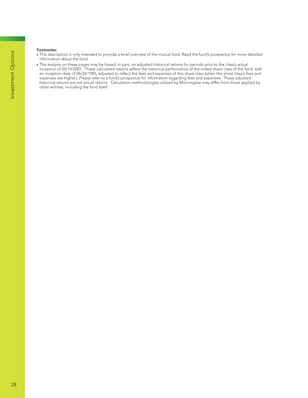#### **Footnotes:**

- This description is only intended to provide a brief overview of the mutual fund. Read the fund's prospectus for more detailed information about the fund.
- The analysis on these pages may be based, in part, on adjusted historical returns for periods prior to the class's actual inception of 05/14/2001. These calculated returns reflect the historical performance of the oldest share class of the fund, with an inception date of 06/24/1985, adjusted to reflect the fees and expenses of this share class (when this share class's fees and expenses are higher.) Please refer to a fund's prospectus for information regarding fees and expenses. These adjusted historical returns are not actual returns. Calculation methodologies utilized by Morningstar may differ from those applied by other entities, including the fund itself.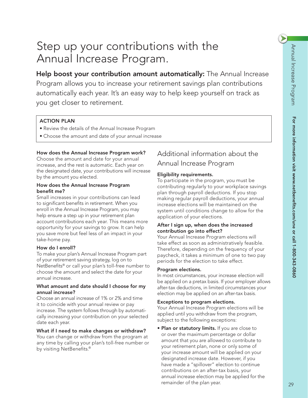# Step up your contributions with the Annual Increase Program.

Help boost your contribution amount automatically: The Annual Increase Program allows you to increase your retirement savings plan contributions automatically each year. It's an easy way to help keep yourself on track as you get closer to retirement.

## ACTION PLAN

- Review the details of the Annual Increase Program
- $\bullet$  Choose the amount and date of your annual increase

## How does the Annual Increase Program work?

Choose the amount and date for your annual increase, and the rest is automatic. Each year on the designated date, your contributions will increase by the amount you elected.

## How does the Annual Increase Program benefit me?

Small increases in your contributions can lead to significant benefits in retirement. When you enroll in the Annual Increase Program, you may help ensure a step up in your retirement plan account contributions each year. This means more opportunity for your savings to grow. It can help you save more but feel less of an impact in your take-home pay.

## How do I enroll?

To make your plan's Annual Increase Program part of your retirement saving strategy, log on to NetBenefits® or call your plan's toll-free number to choose the amount and select the date for your annual increase.

## What amount and date should I choose for my annual increase?

Choose an annual increase of 1% or 2% and time it to coincide with your annual review or pay increase. The system follows through by automatically increasing your contribution on your selected date each year.

## What if I need to make changes or withdraw?

You can change or withdraw from the program at any time by calling your plan's toll-free number or by visiting NetBenefits.®

## Additional information about the Annual Increase Program

## Eligibility requirements.

To participate in the program, you must be contributing regularly to your workplace savings plan through payroll deductions. If you stop making regular payroll deductions, your annual increase elections will be maintained on the system until conditions change to allow for the application of your elections.

## After I sign up, when does the increased contribution go into effect?

Your Annual Increase Program elections will take effect as soon as administratively feasible. Therefore, depending on the frequency of your paycheck, it takes a minimum of one to two pay periods for the election to take effect.

## Program elections.

In most circumstances, your increase election will be applied on a pretax basis. If your employer allows after-tax deductions, in limited circumstances your election may be applied on an after-tax basis.

## Exceptions to program elections.

Your Annual Increase Program elections will be applied until you withdraw from the program, subject to the following exceptions:

• Plan or statutory limits. If you are close to or over the maximum percentage or dollar amount that you are allowed to contribute to your retirement plan, none or only some of your increase amount will be applied on your designated increase date. However, if you have made a "spillover" election to continue contributions on an after-tax basis, your annual increase election may be applied for the remainder of the plan year.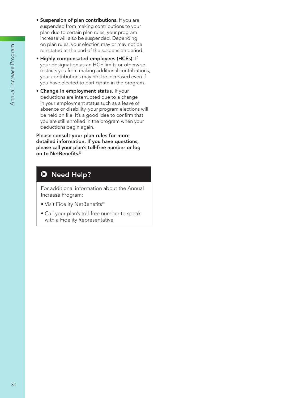- **· Suspension of plan contributions.** If you are suspended from making contributions to your plan due to certain plan rules, your program increase will also be suspended. Depending on plan rules, your election may or may not be reinstated at the end of the suspension period.
- · Highly compensated employees (HCEs). If your designation as an HCE limits or otherwise restricts you from making additional contributions, your contributions may not be increased even if you have elected to participate in the program.
- . Change in employment status. If your deductions are interrupted due to a change in your employment status such as a leave of absence or disability, your program elections will be held on file. It's a good idea to confirm that you are still enrolled in the program when your deductions begin again.

Please consult your plan rules for more detailed information. If you have questions, please call your plan's toll-free number or log on to NetBenefits.®

## **D** Need Help?

For additional information about the Annual Increase Program:

- · Visit Fidelity NetBenefits®
- · Call your plan's toll-free number to speak with a Fidelity Representative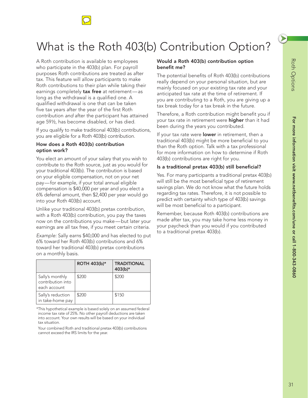

# What is the Roth 403(b) Contribution Option?

A Roth contribution is available to employees who participate in the 403(b) plan. For payroll purposes Roth contributions are treated as after tax. This feature will allow participants to make Roth contributions to their plan while taking their earnings completely tax free at retirement-as long as the withdrawal is a qualified one. A qualified withdrawal is one that can be taken five tax years after the year of the first Roth contribution *and* after the participant has attained age 59½, has become disabled, or has died.

If you qualify to make traditional 403(b) contributions, you are eligible for a Roth 403(b) contribution.

## How does a Roth 403(b) contribution option work?

You elect an amount of your salary that you wish to contribute to the Roth source, just as you would for your traditional 403(b). The contribution is based on your eligible compensation, not on your net pay — for example, if your total annual eligible compensation is \$40,000 per year and you elect a 6% deferral amount, then \$2,400 per year would go into your Roth 403(b) account.

Unlike your traditional 403(b) pretax contribution, with a Roth 403(b) contribution, you pay the taxes now on the contributions you make—but later your earnings are all tax free, if you meet certain criteria.

*Example:* Sally earns \$40,000 and has elected to put 6% toward her Roth 403(b) contributions and 6% toward her traditional 403(b) pretax contributions on a monthly basis.

|                                                      | ROTH 403(b)* | <b>TRADITIONAL</b><br>403(b)* |
|------------------------------------------------------|--------------|-------------------------------|
| Sally's monthly<br>contribution into<br>each account | \$200        | \$200                         |
| Sally's reduction<br>in take-home pay                | \$200        | \$150                         |

\*This hypothetical example is based solely on an assumed federal income tax rate of 25%. No other payroll deductions are taken into account. Your own results will be based on your individual tax situation.

Your combined Roth and traditional pretax 403(b) contributions cannot exceed the IRS limits for the year.

## Would a Roth 403(b) contribution option benefit me?

The potential benefits of Roth 403(b) contributions really depend on your personal situation, but are mainly focused on your existing tax rate and your anticipated tax rate at the time of retirement. If you are contributing to a Roth, you are giving up a tax break today for a tax break in the future.

Therefore, a Roth contribution might benefit you if your tax rate in retirement were **higher** than it had been during the years you contributed.

If your tax rate were lower in retirement, then a traditional 403(b) might be more beneficial to you than the Roth option. Talk with a tax professional for more information on how to determine if Roth 403(b) contributions are right for you.

## Is a traditional pretax 403(b) still beneficial?

Yes. For many participants a traditional pretax 403(b) will still be the most beneficial type of retirement savings plan. We do not know what the future holds regarding tax rates. Therefore, it is not possible to predict with certainty which type of 403(b) savings will be most beneficial to a participant.

Remember, because Roth 403(b) contributions are made after tax, you may take home less money in your paycheck than you would if you contributed to a traditional pretax 403(b).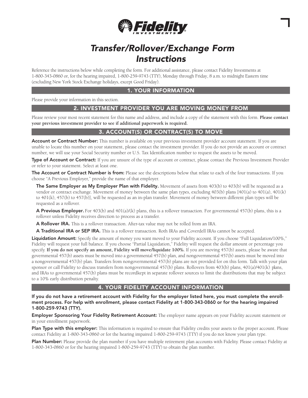

## **Transfer/Rollover/Exchange Form Instructions**

Reference the instructions below while completing the form. For additional assistance, please contact Fidelity Investments at 1-800-343-0860 or, for the hearing impaired, 1-800-259-9743 (TTY), Monday through Friday, 8 a.m. to midnight Eastern time (excluding New York Stock Exchange holidays, except Good Friday).

## **1. YOUR INFORMATION**

Please provide your information in this section.

## 2. INVESTMENT PROVIDER YOU ARE MOVING MONEY FROM

Please review your most recent statement for this name and address, and include a copy of the statement with this form. Please contact your previous investment provider to see if additional paperwork is required.

## 3. ACCOUNT(S) OR CONTRACT(S) TO MOVE

Account or Contract Number: This number is available on your previous investment provider account statement. If you are unable to locate this number on your statement, please contact the investment provider. If you do not provide an account or contract number, we will use your Social Security number or U.S. Tax Identification number to request the assets to be moved.

Type of Account or Contract: If you are unsure of the type of account or contract, please contact the Previous Investment Provider or refer to your statement. Select at least one.

The Account or Contract Number is from: Please see the descriptions below that relate to each of the four transactions. If you choose "A Previous Employer," provide the name of that employer.

The Same Employer as My Employer Plan with Fidelity. Movement of assets from  $403(b)$  to  $403(b)$  will be requested as a vendor or contract exchange. Movement of money between the same plan types, excluding 403(b) plans [401(a) to 401(a), 401(k) to 401(k), 457(b) to 457(b)], will be requested as an in-plan transfer. Movement of money between different plan types will be requested as a rollover.

**A Previous Employer.** For 403(b) and 401(a)/(k) plans, this is a rollover transaction. For governmental 457(b) plans, this is a rollover unless Fidelity receives direction to process as a transfer.

A Rollover IRA. This is a rollover transaction. After-tax value may not be rolled from an IRA.

A Traditional IRA or SEP IRA. This is a rollover transaction. Roth IRAs and Coverdell IRAs cannot be accepted.

Liquidation Amount: Specify the amount of money you want moved to your Fidelity account. If you choose "Full Liquidation/100%," Fidelity will request your full balance. If you choose "Partial Liquidation," Fidelity will request the dollar amount or percentage you specify. If you do not specify an amount, Fidelity will move/liquidate 100%. If you are moving 457(b) assets, please be aware that governmental 457(b) assets must be moved into a governmental 457(b) plan, and nongovernmental 457(b) assets must be moved into a nongovernmental 457(b) plan. Transfers from nongovernmental 457(b) plans are not provided for on this form. Talk with your plan sponsor or call Fidelity to discuss transfers from nongovernmental 457(b) plans. Rollovers from 403(b) plans, 401(a)/401(k) plans, and IRAs to governmental 457(b) plans must be recordkept in separate rollover sources to limit the distributions that may be subject to a 10% early distribution penalty.

## 4. YOUR FIDELITY ACCOUNT INFORMATION

If you do not have a retirement account with Fidelity for the employer listed here, you must complete the enrollment process. For help with enrollment, please contact Fidelity at 1-800-343-0860 or for the hearing impaired 1-800-259-9743 (TTY).

Employer Sponsoring Your Fidelity Retirement Account: The employer name appears on your Fidelity account statement or in your enrollment paperwork.

Plan Type with this employer: This information is required to ensure that Fidelity credits your assets to the proper account. Please contact Fidelity at 1-800-343-0860 or for the hearing impaired 1-800-259-9743 (TTY) if you do not know your plan type.

Plan Number: Please provide the plan number if you have multiple retirement plan accounts with Fidelity. Please contact Fidelity at 1-800-343-0860 or for the hearing impaired 1-800-259-9743 (TTY) to obtain the plan number.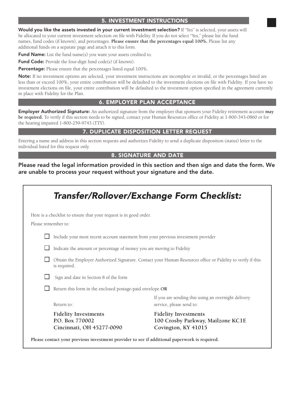## **5. INVESTMENT INSTRUCTIONS**

Would you like the assets invested in your current investment selection? If "Yes" is selected, your assets will be allocated to your current investment selection on file with Fidelity. If you do not select "Yes," please list the fund names, fund codes (if known), and percentages. Please ensure that the percentages equal 100%. Please list any additional funds on a separate page and attach it to this form.

Fund Name: List the fund name(s) you want your assets credited to.

Fund Code: Provide the four-digit fund code(s) (if known).

Percentage: Please ensure that the percentages listed equal 100%.

Note: If no investment options are selected, your investment instructions are incomplete or invalid, or the percentages listed are less than or exceed 100%, your entire contribution will be defaulted to the investment elections on file with Fidelity. If you have no investment elections on file, your entire contribution will be defaulted to the investment option specified in the agreement currently in place with Fidelity for the Plan.

## **6. EMPLOYER PLAN ACCEPTANCE**

**Employer Authorized Signature:** An authorized signature from the employer that sponsors your Fidelity retirement account may be required. To verify if this section needs to be signed, contact your Human Resources office or Fidelity at 1-800-343-0860 or for the hearing impaired 1-800-259-9743 (TTY).

## 7. DUPLICATE DISPOSITION LETTER REQUEST

Entering a name and address in this section requests and authorizes Fidelity to send a duplicate disposition (status) letter to the individual listed for this request only.

## **8. SIGNATURE AND DATE**

Please read the legal information provided in this section and then sign and date the form. We are unable to process your request without your signature and the date.

|                     | <b>Transfer/Rollover/Exchange Form Checklist:</b>                                            |                                                                                                             |
|---------------------|----------------------------------------------------------------------------------------------|-------------------------------------------------------------------------------------------------------------|
| Please remember to: | Here is a checklist to ensure that your request is in good order.                            |                                                                                                             |
|                     | Include your most recent account statement from your previous investment provider            |                                                                                                             |
|                     | Indicate the amount or percentage of money you are moving to Fidelity                        |                                                                                                             |
|                     | is required.                                                                                 | Obtain the Employer Authorized Signature. Contact your Human Resources office or Fidelity to verify if this |
|                     | Sign and date in Section 8 of the form                                                       |                                                                                                             |
|                     | Return this form in the enclosed postage-paid envelope OR                                    |                                                                                                             |
|                     | Return to:                                                                                   | If you are sending this using an overnight delivery<br>service, please send to:                             |
|                     | <b>Fidelity Investments</b><br>P.O. Box 770002<br>Cincinnati, OH 45277-0090                  | <b>Fidelity Investments</b><br>100 Crosby Parkway, Mailzone KC1E<br>Covington, KY 41015                     |
|                     | Please contact your previous investment provider to see if additional paperwork is required. |                                                                                                             |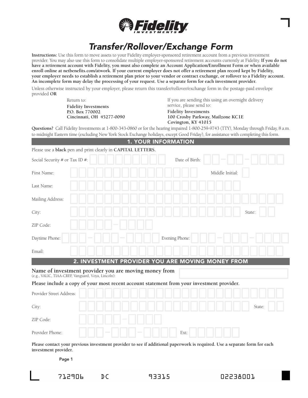

## **Transfer/Rollover/Exchange Form**

Instructions: Use this form to move assets to your Fidelity employer-sponsored retirement account from a previous investment provider. You may also use this form to consolidate multiple employer-sponsored retirement accounts currently at Fidelity. If you do not have a retirement account with Fidelity, you must also complete an Account Application/Enrollment Form or when available enroll online at netbenefits.com/atwork. If your current employer does not offer a retirement plan record kept by Fidelity, your employer needs to establish a retirement plan prior to your vendor or contract exchange, or rollover to a Fidelity account. An incomplete form may delay the processing of your request. Use a separate form for each investment provider.

Unless otherwise instructed by your employer, please return this transfer/rollover/exchange form in the postage-paid envelope provided OR

> Return to: **Fidelity Investments** P.O. Box 770002 Cincinnati, OH 45277-0090

If you are sending this using an overnight delivery service, please send to: **Fidelity Investments** 100 Crosby Parkway, Mailzone KC1E Covington, KY 41015

Questions? Call Fidelity Investments at 1-800-343-0860 or for the hearing impaired 1-800-259-9743 (TTY), Monday through Friday, 8 a.m. to midnight Eastern time (excluding New York Stock Exchange holidays, except Good Friday), for assistance with completing this form. 4 VOUR INFORMATION

|                                                                                                             | <b>1. TUUR INFURMATIUN</b>                       |        |
|-------------------------------------------------------------------------------------------------------------|--------------------------------------------------|--------|
| Please use a black pen and print clearly in CAPITAL LETTERS.                                                |                                                  |        |
| Social Security # or Tax ID #:                                                                              | Date of Birth:                                   |        |
| First Name:                                                                                                 | Middle Initial:                                  |        |
| Last Name:                                                                                                  |                                                  |        |
| Mailing Address:                                                                                            |                                                  |        |
| City:                                                                                                       | State:                                           |        |
| ZIP Code:                                                                                                   |                                                  |        |
| Daytime Phone:                                                                                              | Evening Phone:                                   |        |
| Email:                                                                                                      |                                                  |        |
|                                                                                                             | 2. INVESTMENT PROVIDER YOU ARE MOVING MONEY FROM |        |
| Name of investment provider you are moving money from<br>(e.g., VALIC, TIAA-CREF, Vanguard, Voya, Lincoln): |                                                  |        |
| Please include a copy of your most recent account statement from your investment provider.                  |                                                  |        |
| Provider Street Address:                                                                                    |                                                  |        |
| City:                                                                                                       |                                                  | State: |
| ZIP Code:                                                                                                   |                                                  |        |
|                                                                                                             |                                                  |        |

Please contact your previous investment provider to see if additional paperwork is required. Use a separate form for each investment provider.

Page 1

Provider Phone:

 $D C$ 

and the state of the state of the state of the state of the state of the state of the state of the state of the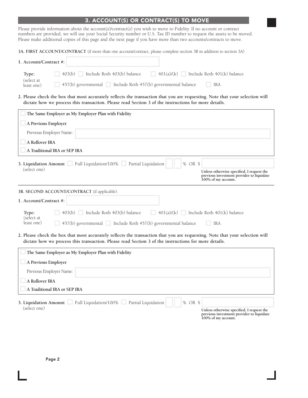## 3. ACCOUNT(S) OR CONTRACT(S) TO MOVE

Please provide information about the account(s)/contract(s) you wish to move to Fidelity. If no account or contract numbers are provided, we will use your Social Security number or U.S. Tax ID number to request the assets Please make additional copies of this page and the next page if you have more than two accounts/contracts to move.

3A. FIRST ACCOUNT/CONTRACT (if more than one account/contract, please complete section 3B in addition to section 3A)

| 1. Account/Contract #:   |                                       |                                          |                             |
|--------------------------|---------------------------------------|------------------------------------------|-----------------------------|
| Type:                    | Include Roth 403(b) balance<br>403(b) | 401(a)/(k)                               | Include Roth 401(k) balance |
| (select at<br>least one) | $457(b)$ governmental                 | Include Roth 457(b) governmental balance | IRA                         |

2. Please check the box that most accurately reflects the transaction that you are requesting. Note that your selection will dictate how we process this transaction. Please read Section 3 of the instructions for more details.

| The Same Employer as My Employer Plan with Fidelity                                                                                                                                                                                  |
|--------------------------------------------------------------------------------------------------------------------------------------------------------------------------------------------------------------------------------------|
| A Previous Employer                                                                                                                                                                                                                  |
| Previous Employer Name:                                                                                                                                                                                                              |
| A Rollover IRA                                                                                                                                                                                                                       |
| A Traditional IRA or SEP IRA                                                                                                                                                                                                         |
| 3. Liquidation Amount Full Liquidation/100% Partial Liquidation<br>% OR \$<br>(select one)                                                                                                                                           |
| Unless otherwise specified, I request the<br>previous investment provider to liquidate<br>100% of my account.                                                                                                                        |
| 3B. SECOND ACCOUNT/CONTRACT (if applicable).                                                                                                                                                                                         |
| 1. Account/Contract #:                                                                                                                                                                                                               |
| $403(b)$ Include Roth $403(b)$ balance<br>$401(a)/(k)$ Include Roth $401(k)$ balance<br>a ka<br>Type:<br>(select at<br>$457(b)$ governmental $\Box$ Include Roth 457(b) governmental balance<br>least one)<br><b>IRA</b>             |
| 2. Please check the box that most accurately reflects the transaction that you are requesting. Note that your selection will<br>dictate how we process this transaction. Please read Section 3 of the instructions for more details. |
| The Same Employer as My Employer Plan with Fidelity                                                                                                                                                                                  |

| The bane employer as $m$ employer I am what I racing                            |                                                                                                               |
|---------------------------------------------------------------------------------|---------------------------------------------------------------------------------------------------------------|
| A Previous Employer                                                             |                                                                                                               |
| Previous Employer Name:                                                         |                                                                                                               |
| A Rollover IRA                                                                  |                                                                                                               |
| A Traditional IRA or SEP IRA                                                    |                                                                                                               |
| Full Liquidation/100% Partial Liquidation<br>$%$ OR \$<br>3. Liquidation Amount |                                                                                                               |
| (select one)                                                                    | Unless otherwise specified, I request the<br>previous investment provider to liquidate<br>100% of my account. |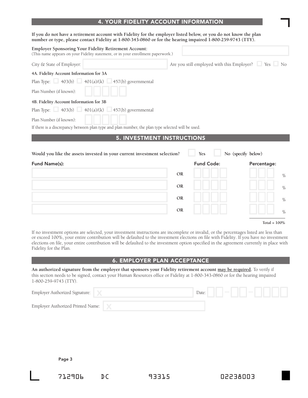## **4. YOUR FIDELITY ACCOUNT INFORMATION**

#### If you do not have a retirement account with Fidelity for the employer listed below, or you do not know the plan number or type, please contact Fidelity at 1-800-343-0860 or for the hearing impaired 1-800-259-9743 (TTY).

|                                                                                                                                                  | <b>OR</b> |                                                   |             | $\%$ |
|--------------------------------------------------------------------------------------------------------------------------------------------------|-----------|---------------------------------------------------|-------------|------|
|                                                                                                                                                  | <b>OR</b> |                                                   |             | $\%$ |
|                                                                                                                                                  | <b>OR</b> |                                                   |             | $\%$ |
| Fund Name(s):                                                                                                                                    |           | <b>Fund Code:</b>                                 | Percentage: |      |
| <b>5. INVESTMENT INSTRUCTIONS</b><br>Would you like the assets invested in your current investment selection?                                    |           | No (specify below)<br>Yes                         |             |      |
| Plan Number (if known):<br>If there is a discrepancy between plan type and plan number, the plan type selected will be used.                     |           |                                                   |             |      |
| 4B. Fidelity Account Information for 3B<br>Plan Type: $\Box$ 403(b) $\Box$ 401(a)/(k) $\Box$ 457(b) governmental                                 |           |                                                   |             |      |
| Plan Number (if known):                                                                                                                          |           |                                                   |             |      |
| 4A. Fidelity Account Information for 3A<br>Plan Type: $\Box$ 403(b) $\Box$ 401(a)/(k) $\Box$ 457(b) governmental                                 |           |                                                   |             |      |
| City & State of Employer:                                                                                                                        |           | Are you still employed with this Employer? Yes No |             |      |
| <b>Employer Sponsoring Your Fidelity Retirement Account:</b><br>(This name appears on your Fidelity statement, or in your enrollment paperwork.) |           |                                                   |             |      |

#### Total =  $100\%$

 $\%$ 

If no investment options are selected, your investment instructions are incomplete or invalid, or the percentages listed are less than or exceed 100%, your entire contribution will be defaulted to the investment elections on file with Fidelity. If you have no investment elections on file, your entire contribution will be defaulted to the investment option specified in the agreement currently in place with Fidelity for the Plan.

**OR** 

### **6. EMPLOYER PLAN ACCEPTANCE**

An authorized signature from the employer that sponsors your Fidelity retirement account may be required. To verify if this section needs to be signed, contact your Human Resources office or Fidelity at 1-800-343-0860 or for the hearing impaired 1-800-259-9743 (TTY).

| Employer Authorized Signature:    | Date: |  |  |
|-----------------------------------|-------|--|--|
| Employer Authorized Printed Name: |       |  |  |

Page 3

712906

 $D C$ 

93315

EDDAESSO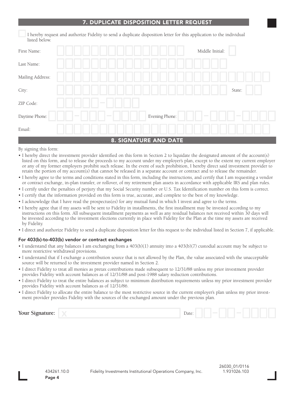## **DUPLICATE DISPOSITION LETTER REQUEST**

I hereby request and authorize Fidelity to send a duplicate disposition letter for this application to the individual listed below.

| First Name:      |                  |                             | Middle Initial:                    |
|------------------|------------------|-----------------------------|------------------------------------|
| Last Name:       |                  |                             |                                    |
| Mailing Address: |                  |                             |                                    |
| City:            |                  |                             | State:                             |
| ZIP Code:        | $\sim$           |                             |                                    |
| Daytime Phone:   | $\sim$<br>$\sim$ | Evening Phone:              | <b>Contract</b><br><b>Contract</b> |
| Email:           |                  |                             |                                    |
|                  |                  | <b>2 SIGNATHEF AND DATE</b> |                                    |

By signing this form:

- I hereby direct the investment provider identified on this form in Section 2 to liquidate the designated amount of the account(s) listed on this form, and to release the proceeds to my account under my employer's plan, except to the extent my current employer or any of my former employers prohibit such release. In the event of such prohibition, I hereby direct said investment provider to retain the portion of my account(s) that cannot be released in a separate account or contract and to release the remainder.
- I hereby agree to the terms and conditions stated in this form, including the instructions, and certify that I am requesting a vendor or contract exchange, in-plan transfer, or rollover, of my retirement plan assets in accordance with applicable IRS and plan rules.
- I certify under the penalties of perjury that my Social Security number or U.S. Tax Identification number on this form is correct.
- I certify that the information provided on this form is true, accurate, and complete to the best of my knowledge.
- I acknowledge that I have read the prospectus(es) for any mutual fund in which I invest and agree to the terms.
- I hereby agree that if my assets will be sent to Fidelity in installments, the first installment may be invested according to my instructions on this form. All subsequent installment payments as well as any residual balances not received within 30 days will be invested according to the investment elections currently in place with Fidelity for the Plan at the time my assets are received by Fidelity.
- I direct and authorize Fidelity to send a duplicate disposition letter for this request to the individual listed in Section 7, if applicable.

#### For 403(b)-to-403(b) vendor or contract exchanges

- I understand that any balances I am exchanging from a 403(b)(1) annuity into a 403(b)(7) custodial account may be subject to more restrictive withdrawal provisions.
- I understand that if I exchange a contribution source that is not allowed by the Plan, the value associated with the unacceptable source will be returned to the investment provider named in Section 2.
- I direct Fidelity to treat all monies as pretax contributions made subsequent to 12/31/88 unless my prior investment provider provides Fidelity with account balances as of 12/31/88 and post-1988 salary reduction contributions.
- I direct Fidelity to treat the entire balances as subject to minimum distribution requirements unless my prior investment provider provides Fidelity with account balances as of 12/31/86.
- I direct Fidelity to allocate the entire balance to the most restrictive source in the current employer's plan unless my prior investment provider provides Fidelity with the sources of the exchanged amount under the previous plan.

| Your Signature:<br>Date:<br><b>Contract</b> |
|---------------------------------------------|
|---------------------------------------------|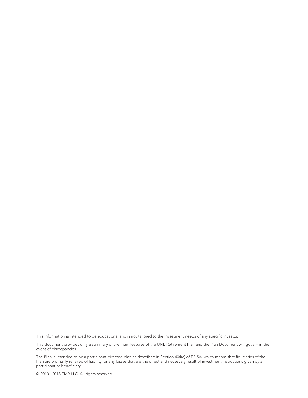This information is intended to be educational and is not tailored to the investment needs of any specific investor.

This document provides only a summary of the main features of the UNE Retirement Plan and the Plan Document will govern in the event of discrepancies.

The Plan is intended to be a participant-directed plan as described in Section 404(c) of ERISA, which means that fiduciaries of the<br>Plan are ordinarily relieved of liability for any losses that are the direct and necessary participant or beneficiary.

© 2010 - 2018 FMR LLC. All rights reserved.